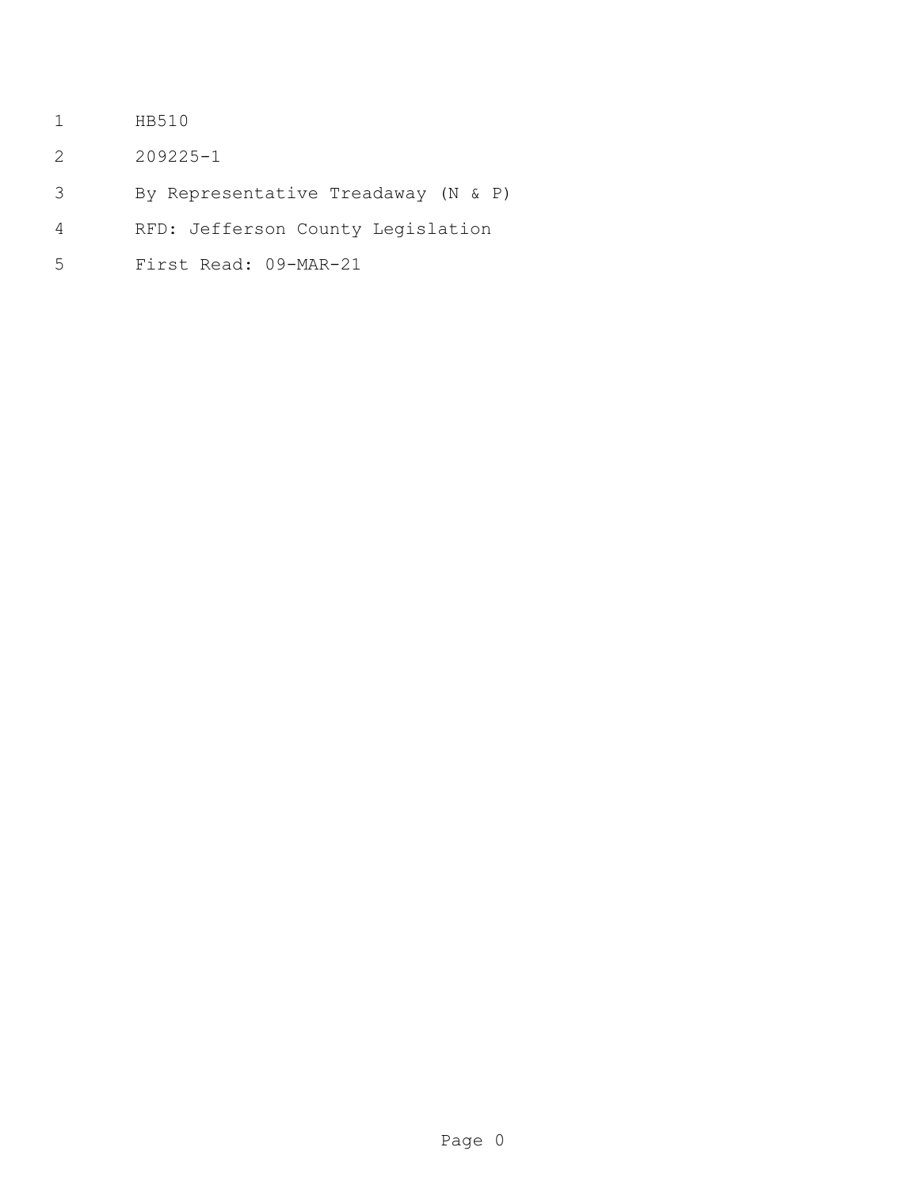- HB510
- 209225-1
- By Representative Treadaway (N & P)
- RFD: Jefferson County Legislation
- First Read: 09-MAR-21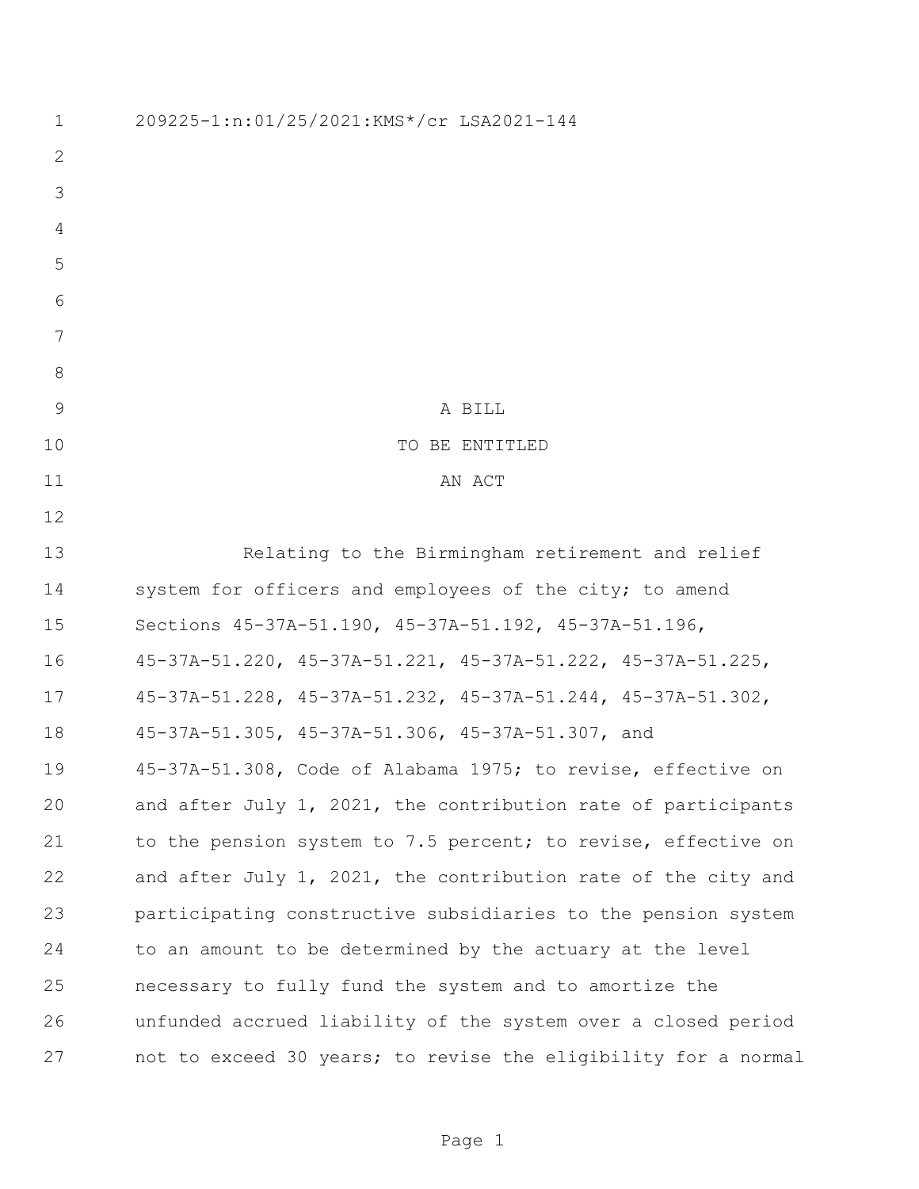209225-1:n:01/25/2021:KMS\*/cr LSA2021-144 9 A BILL 10 TO BE ENTITLED 11 AN ACT Relating to the Birmingham retirement and relief 14 system for officers and employees of the city; to amend Sections 45-37A-51.190, 45-37A-51.192, 45-37A-51.196, 45-37A-51.220, 45-37A-51.221, 45-37A-51.222, 45-37A-51.225, 45-37A-51.228, 45-37A-51.232, 45-37A-51.244, 45-37A-51.302, 45-37A-51.305, 45-37A-51.306, 45-37A-51.307, and 45-37A-51.308, Code of Alabama 1975; to revise, effective on and after July 1, 2021, the contribution rate of participants 21 to the pension system to 7.5 percent; to revise, effective on and after July 1, 2021, the contribution rate of the city and participating constructive subsidiaries to the pension system to an amount to be determined by the actuary at the level necessary to fully fund the system and to amortize the unfunded accrued liability of the system over a closed period not to exceed 30 years; to revise the eligibility for a normal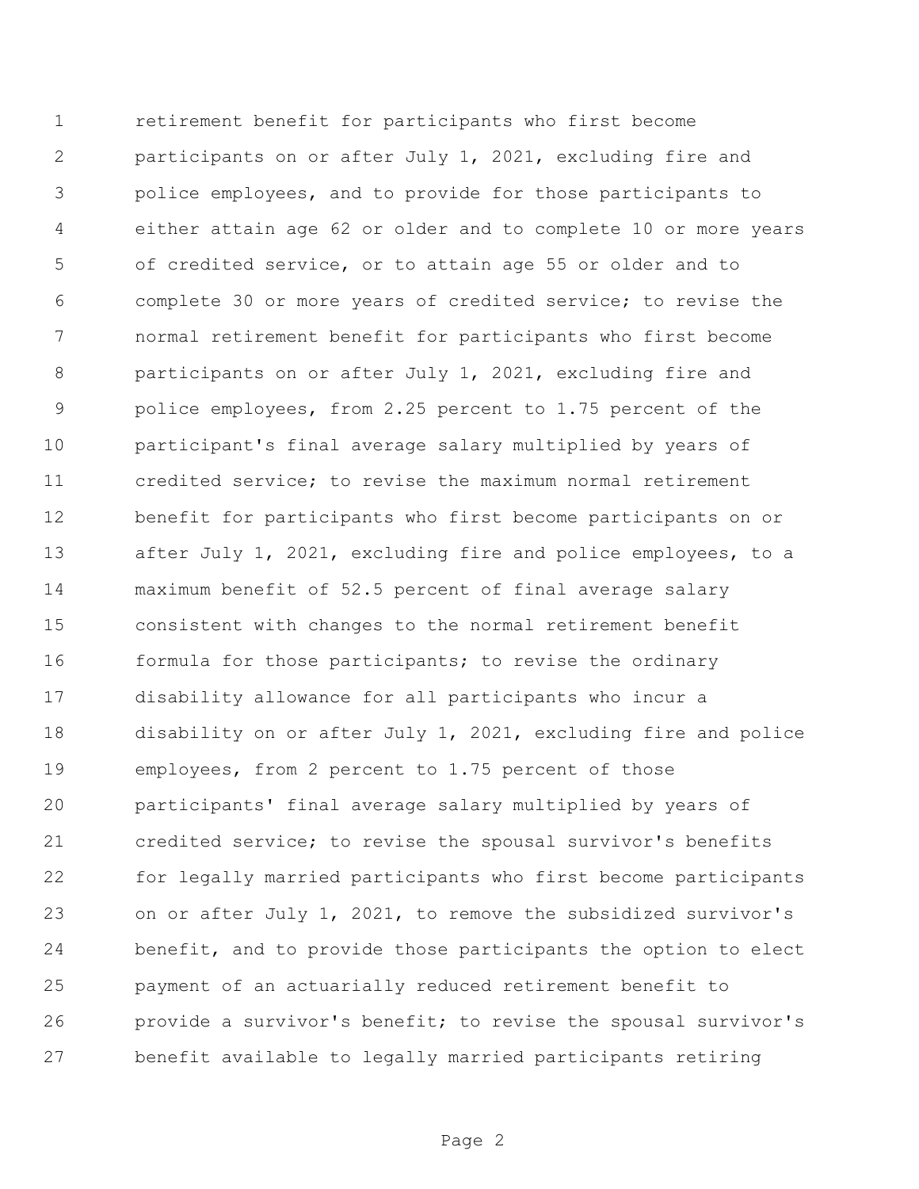retirement benefit for participants who first become participants on or after July 1, 2021, excluding fire and police employees, and to provide for those participants to either attain age 62 or older and to complete 10 or more years of credited service, or to attain age 55 or older and to complete 30 or more years of credited service; to revise the normal retirement benefit for participants who first become participants on or after July 1, 2021, excluding fire and police employees, from 2.25 percent to 1.75 percent of the participant's final average salary multiplied by years of credited service; to revise the maximum normal retirement benefit for participants who first become participants on or after July 1, 2021, excluding fire and police employees, to a maximum benefit of 52.5 percent of final average salary consistent with changes to the normal retirement benefit 16 formula for those participants; to revise the ordinary disability allowance for all participants who incur a disability on or after July 1, 2021, excluding fire and police employees, from 2 percent to 1.75 percent of those participants' final average salary multiplied by years of credited service; to revise the spousal survivor's benefits for legally married participants who first become participants on or after July 1, 2021, to remove the subsidized survivor's benefit, and to provide those participants the option to elect payment of an actuarially reduced retirement benefit to provide a survivor's benefit; to revise the spousal survivor's benefit available to legally married participants retiring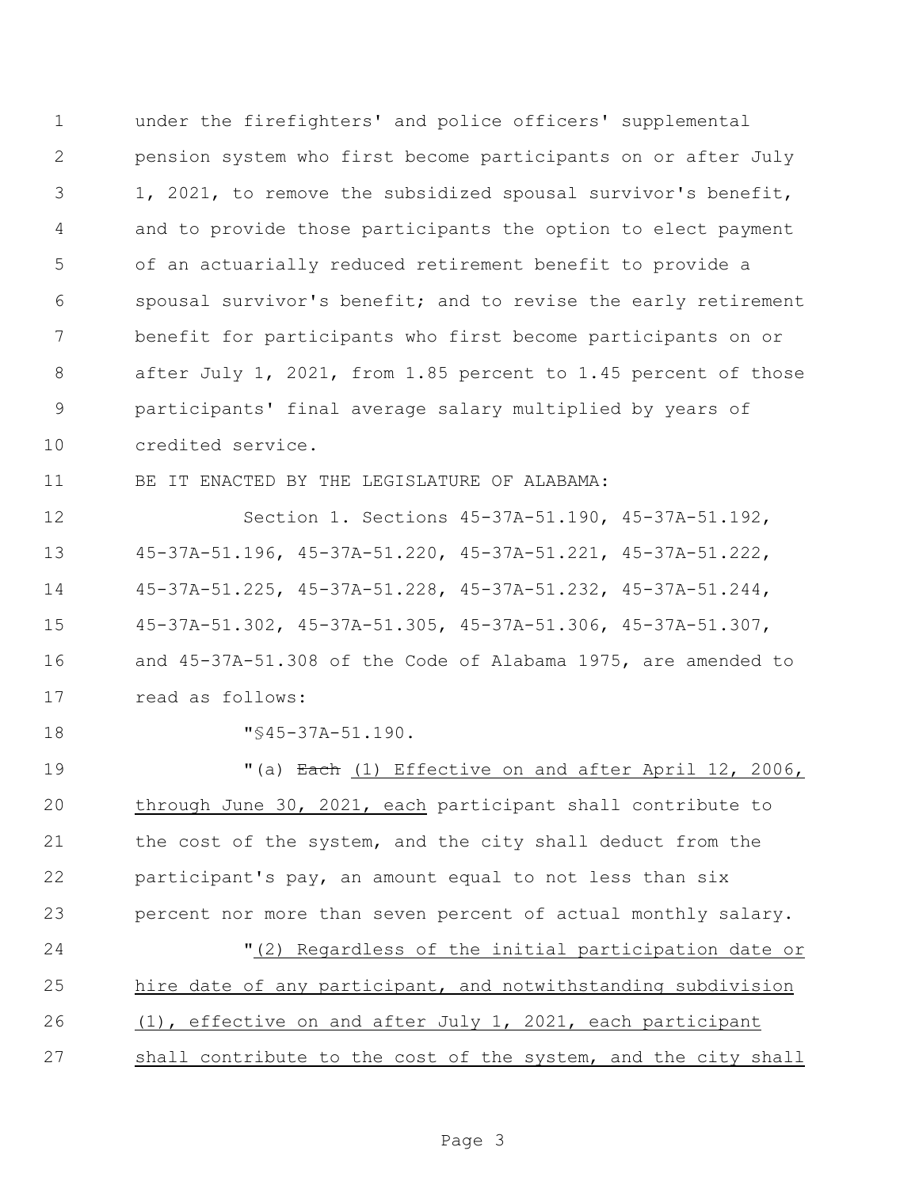under the firefighters' and police officers' supplemental pension system who first become participants on or after July 1, 2021, to remove the subsidized spousal survivor's benefit, and to provide those participants the option to elect payment of an actuarially reduced retirement benefit to provide a spousal survivor's benefit; and to revise the early retirement benefit for participants who first become participants on or after July 1, 2021, from 1.85 percent to 1.45 percent of those participants' final average salary multiplied by years of credited service.

BE IT ENACTED BY THE LEGISLATURE OF ALABAMA:

 Section 1. Sections 45-37A-51.190, 45-37A-51.192, 45-37A-51.196, 45-37A-51.220, 45-37A-51.221, 45-37A-51.222, 45-37A-51.225, 45-37A-51.228, 45-37A-51.232, 45-37A-51.244, 45-37A-51.302, 45-37A-51.305, 45-37A-51.306, 45-37A-51.307, and 45-37A-51.308 of the Code of Alabama 1975, are amended to read as follows:

18  $\texttt{"}$ \$45-37A-51.190.

 $(1)$   $\frac{1}{2}$   $\frac{1}{2}$   $\frac{1}{2}$   $\frac{1}{2}$   $\frac{1}{2}$   $\frac{1}{2}$   $\frac{1}{2}$   $\frac{1}{2}$   $\frac{1}{2}$   $\frac{1}{2}$   $\frac{1}{2}$   $\frac{1}{2}$   $\frac{1}{2}$   $\frac{1}{2}$   $\frac{1}{2}$   $\frac{1}{2}$   $\frac{1}{2}$   $\frac{1}{2}$   $\frac{1}{2}$   $\frac{1}{2}$   $\frac{1}{2}$   $\frac$  through June 30, 2021, each participant shall contribute to 21 the cost of the system, and the city shall deduct from the participant's pay, an amount equal to not less than six percent nor more than seven percent of actual monthly salary. "(2) Regardless of the initial participation date or hire date of any participant, and notwithstanding subdivision (1), effective on and after July 1, 2021, each participant shall contribute to the cost of the system, and the city shall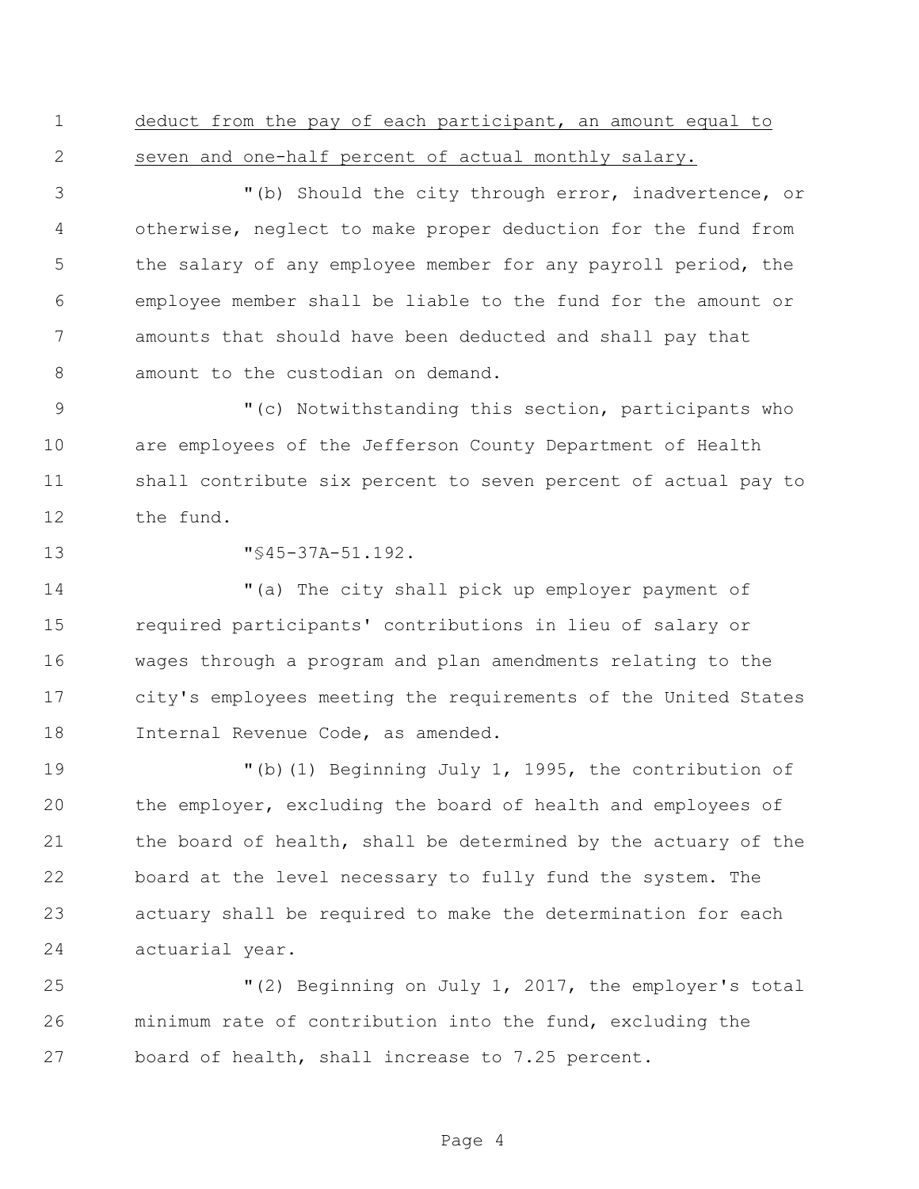deduct from the pay of each participant, an amount equal to seven and one-half percent of actual monthly salary.

 "(b) Should the city through error, inadvertence, or otherwise, neglect to make proper deduction for the fund from the salary of any employee member for any payroll period, the employee member shall be liable to the fund for the amount or amounts that should have been deducted and shall pay that amount to the custodian on demand.

9 "(c) Notwithstanding this section, participants who are employees of the Jefferson County Department of Health shall contribute six percent to seven percent of actual pay to the fund.

"§45-37A-51.192.

 "(a) The city shall pick up employer payment of required participants' contributions in lieu of salary or wages through a program and plan amendments relating to the city's employees meeting the requirements of the United States Internal Revenue Code, as amended.

 "(b)(1) Beginning July 1, 1995, the contribution of the employer, excluding the board of health and employees of the board of health, shall be determined by the actuary of the board at the level necessary to fully fund the system. The actuary shall be required to make the determination for each actuarial year.

 "(2) Beginning on July 1, 2017, the employer's total minimum rate of contribution into the fund, excluding the board of health, shall increase to 7.25 percent.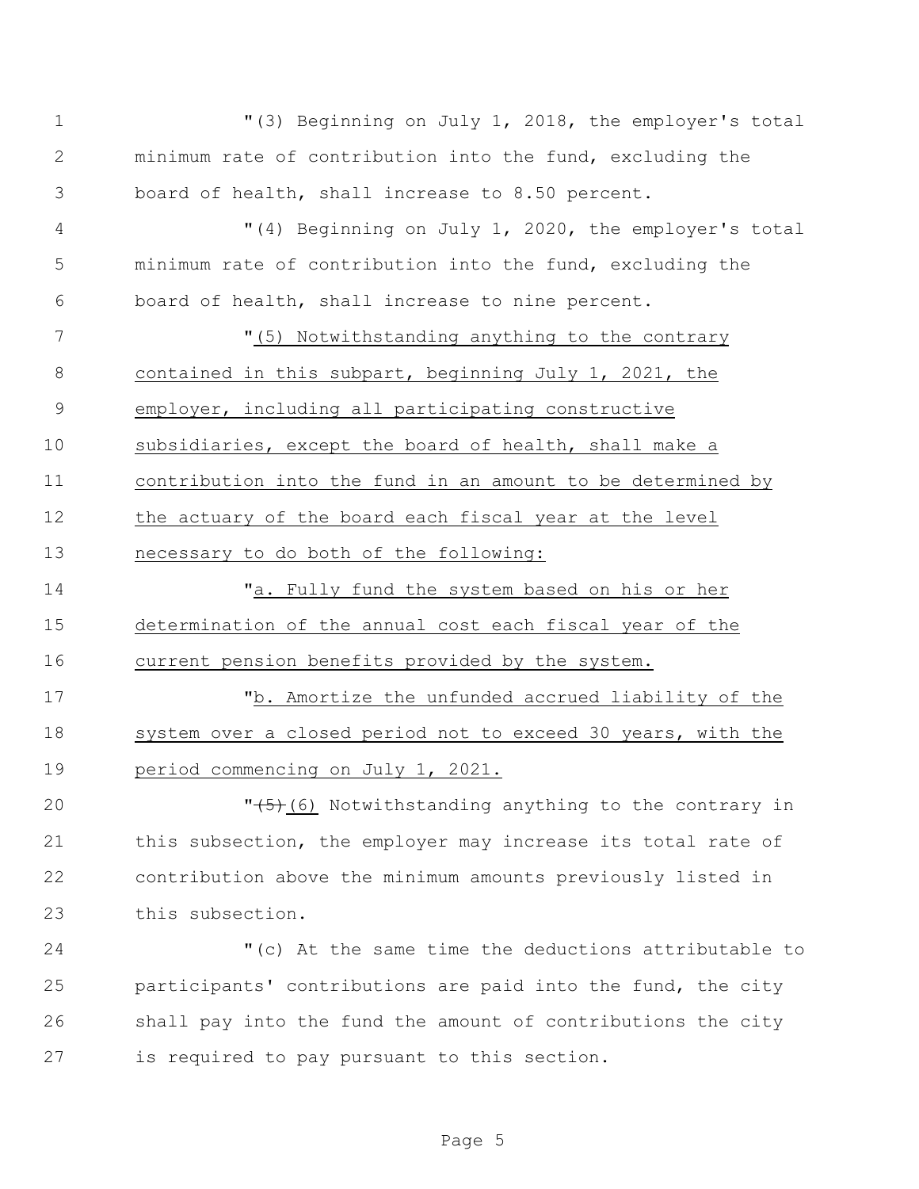"(3) Beginning on July 1, 2018, the employer's total minimum rate of contribution into the fund, excluding the board of health, shall increase to 8.50 percent. "(4) Beginning on July 1, 2020, the employer's total minimum rate of contribution into the fund, excluding the board of health, shall increase to nine percent. "(5) Notwithstanding anything to the contrary contained in this subpart, beginning July 1, 2021, the employer, including all participating constructive subsidiaries, except the board of health, shall make a contribution into the fund in an amount to be determined by the actuary of the board each fiscal year at the level necessary to do both of the following: 14 Ta. Fully fund the system based on his or her determination of the annual cost each fiscal year of the current pension benefits provided by the system. "b. Amortize the unfunded accrued liability of the

18 system over a closed period not to exceed 30 years, with the period commencing on July 1, 2021.

 $\sqrt{5}$  (6) Notwithstanding anything to the contrary in 21 this subsection, the employer may increase its total rate of contribution above the minimum amounts previously listed in this subsection.

 "(c) At the same time the deductions attributable to participants' contributions are paid into the fund, the city shall pay into the fund the amount of contributions the city is required to pay pursuant to this section.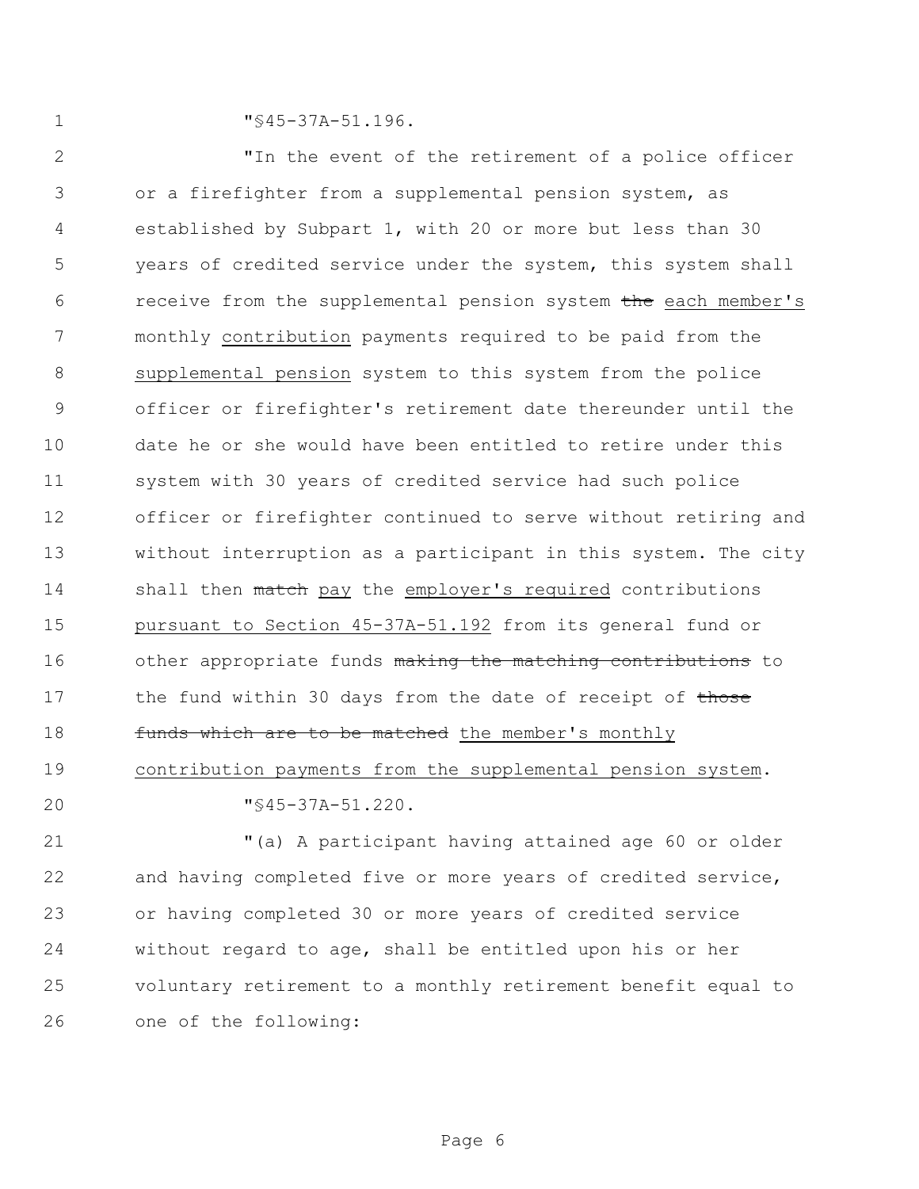1  $\sqrt{945-37A-51.196}$ .

 "In the event of the retirement of a police officer or a firefighter from a supplemental pension system, as established by Subpart 1, with 20 or more but less than 30 years of credited service under the system, this system shall 6 receive from the supplemental pension system the each member's monthly contribution payments required to be paid from the supplemental pension system to this system from the police officer or firefighter's retirement date thereunder until the date he or she would have been entitled to retire under this system with 30 years of credited service had such police officer or firefighter continued to serve without retiring and without interruption as a participant in this system. The city 14 shall then match pay the employer's required contributions pursuant to Section 45-37A-51.192 from its general fund or 16 other appropriate funds making the matching contributions to 17 the fund within 30 days from the date of receipt of those 18 funds which are to be matched the member's monthly contribution payments from the supplemental pension system.

"§45-37A-51.220.

 "(a) A participant having attained age 60 or older and having completed five or more years of credited service, or having completed 30 or more years of credited service without regard to age, shall be entitled upon his or her voluntary retirement to a monthly retirement benefit equal to one of the following: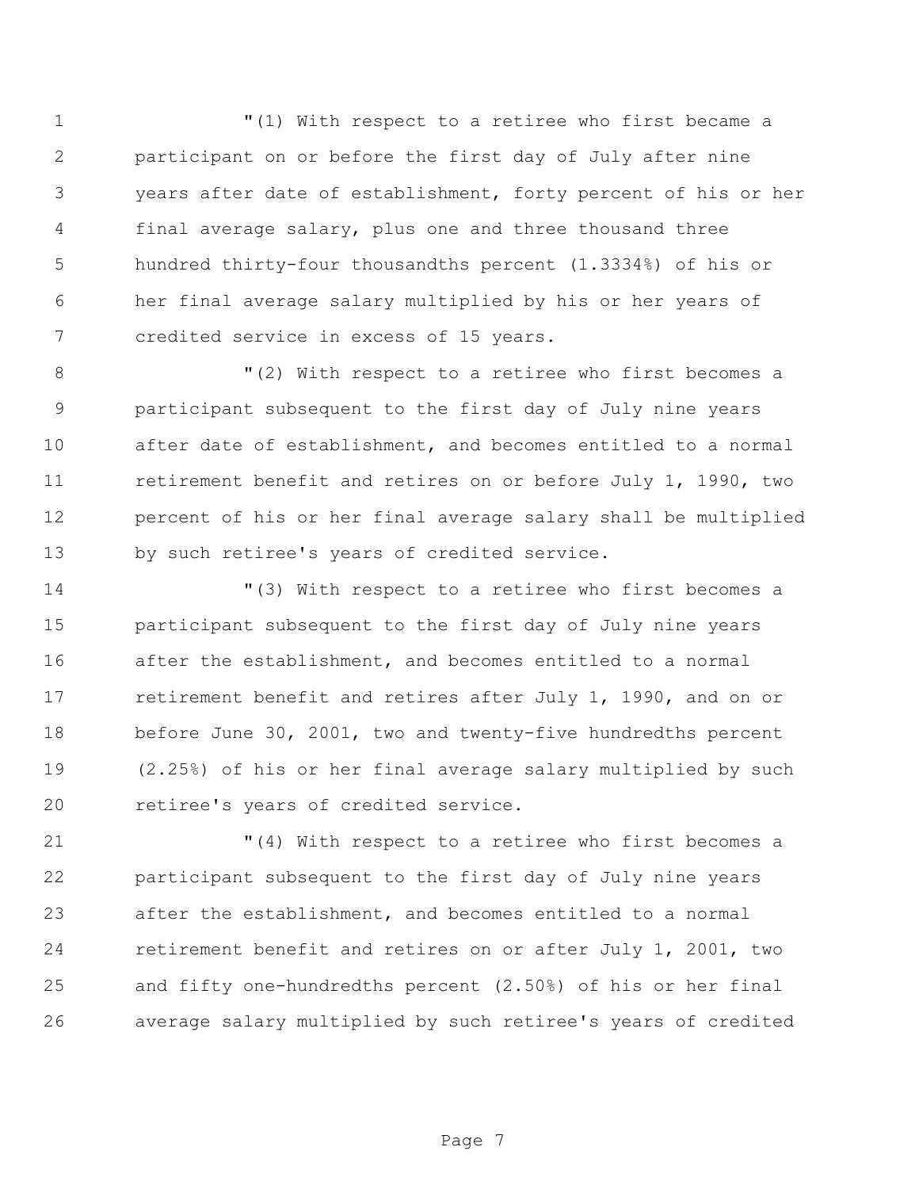"(1) With respect to a retiree who first became a participant on or before the first day of July after nine years after date of establishment, forty percent of his or her final average salary, plus one and three thousand three hundred thirty-four thousandths percent (1.3334%) of his or her final average salary multiplied by his or her years of credited service in excess of 15 years.

 "(2) With respect to a retiree who first becomes a participant subsequent to the first day of July nine years after date of establishment, and becomes entitled to a normal retirement benefit and retires on or before July 1, 1990, two percent of his or her final average salary shall be multiplied by such retiree's years of credited service.

 "(3) With respect to a retiree who first becomes a participant subsequent to the first day of July nine years after the establishment, and becomes entitled to a normal retirement benefit and retires after July 1, 1990, and on or before June 30, 2001, two and twenty-five hundredths percent (2.25%) of his or her final average salary multiplied by such retiree's years of credited service.

 "(4) With respect to a retiree who first becomes a participant subsequent to the first day of July nine years after the establishment, and becomes entitled to a normal retirement benefit and retires on or after July 1, 2001, two and fifty one-hundredths percent (2.50%) of his or her final average salary multiplied by such retiree's years of credited

Page 7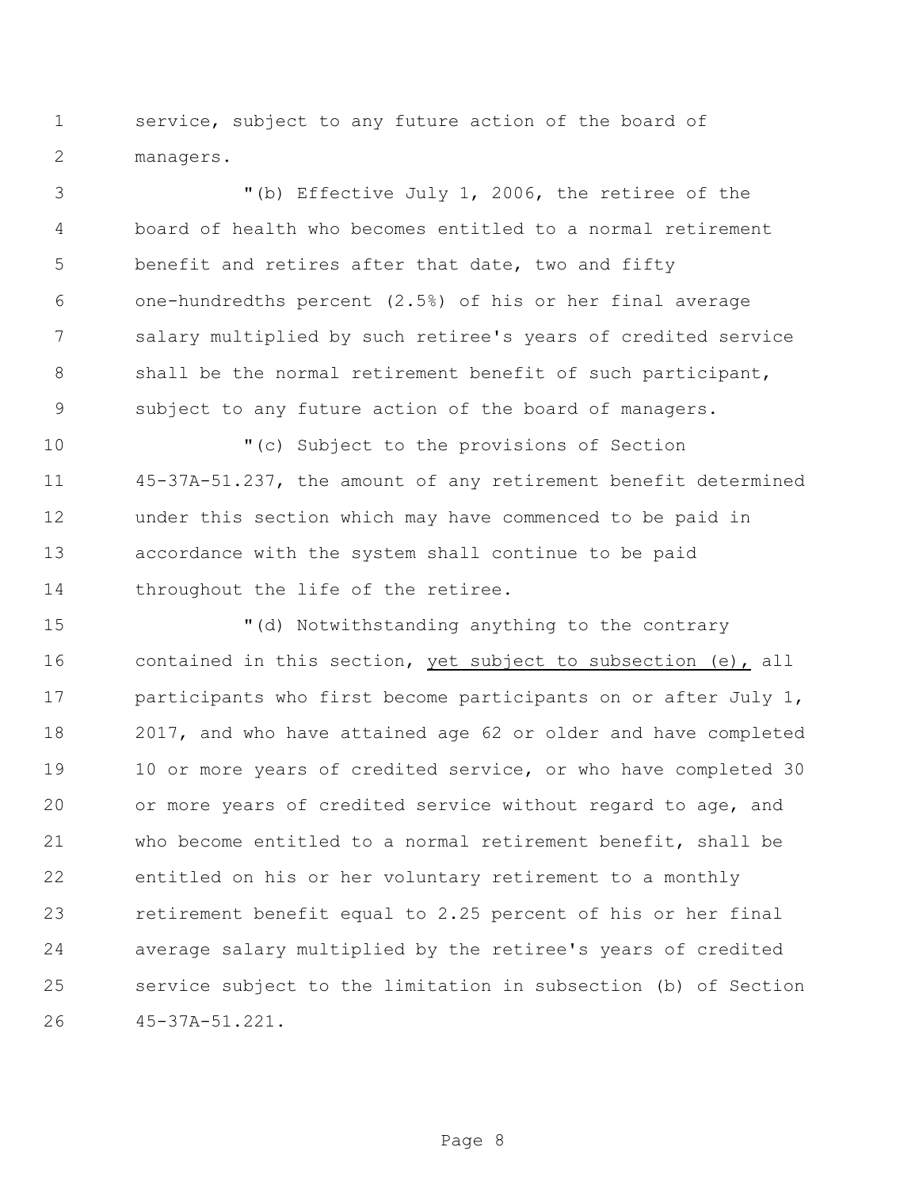service, subject to any future action of the board of managers.

 "(b) Effective July 1, 2006, the retiree of the board of health who becomes entitled to a normal retirement benefit and retires after that date, two and fifty one-hundredths percent (2.5%) of his or her final average salary multiplied by such retiree's years of credited service 8 shall be the normal retirement benefit of such participant, subject to any future action of the board of managers.

 "(c) Subject to the provisions of Section 45-37A-51.237, the amount of any retirement benefit determined under this section which may have commenced to be paid in accordance with the system shall continue to be paid 14 throughout the life of the retiree.

 "(d) Notwithstanding anything to the contrary 16 contained in this section, yet subject to subsection (e), all participants who first become participants on or after July 1, 2017, and who have attained age 62 or older and have completed 19 10 or more years of credited service, or who have completed 30 or more years of credited service without regard to age, and who become entitled to a normal retirement benefit, shall be entitled on his or her voluntary retirement to a monthly retirement benefit equal to 2.25 percent of his or her final average salary multiplied by the retiree's years of credited service subject to the limitation in subsection (b) of Section 45-37A-51.221.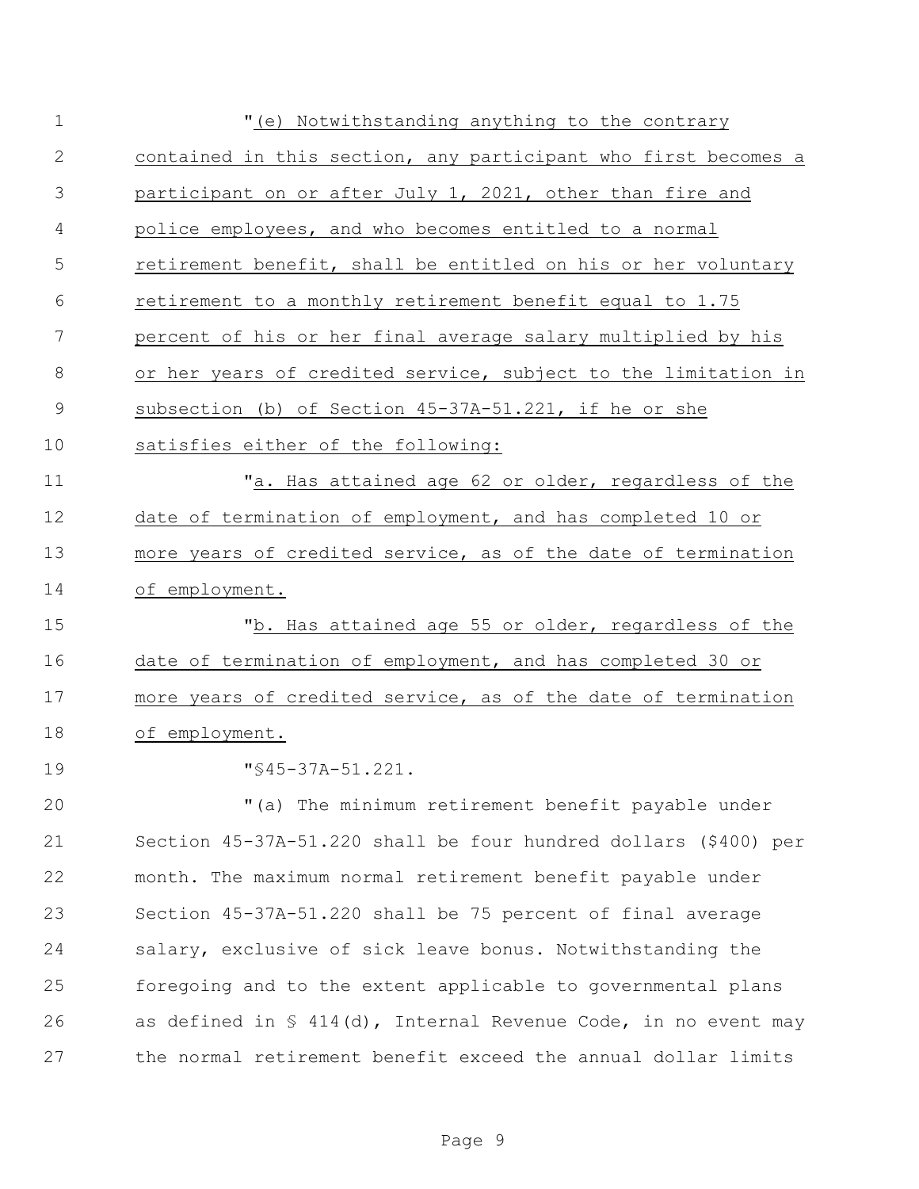| $\mathbf 1$   | "(e) Notwithstanding anything to the contrary                              |
|---------------|----------------------------------------------------------------------------|
| 2             | contained in this section, any participant who first becomes a             |
| 3             | participant on or after July 1, 2021, other than fire and                  |
| 4             | police employees, and who becomes entitled to a normal                     |
| 5             | retirement benefit, shall be entitled on his or her voluntary              |
| 6             | retirement to a monthly retirement benefit equal to 1.75                   |
| 7             | percent of his or her final average salary multiplied by his               |
| 8             | or her years of credited service, subject to the limitation in             |
| $\mathcal{G}$ | subsection (b) of Section 45-37A-51.221, if he or she                      |
| 10            | satisfies either of the following:                                         |
| 11            | "a. Has attained age 62 or older, regardless of the                        |
| 12            | date of termination of employment, and has completed 10 or                 |
| 13            | more years of credited service, as of the date of termination              |
| 14            | of employment.                                                             |
| 15            | "b. Has attained age 55 or older, regardless of the                        |
| 16            | date of termination of employment, and has completed 30 or                 |
| 17            | more years of credited service, as of the date of termination              |
| 18            | of employment.                                                             |
| 19            | $\sqrt{845-37A-51.221}$ .                                                  |
| 20            | "(a) The minimum retirement benefit payable under                          |
| 21            | Section 45-37A-51.220 shall be four hundred dollars (\$400) per            |
| 22            | month. The maximum normal retirement benefit payable under                 |
| 23            | Section 45-37A-51.220 shall be 75 percent of final average                 |
| 24            | salary, exclusive of sick leave bonus. Notwithstanding the                 |
| 25            | foregoing and to the extent applicable to governmental plans               |
| 26            | as defined in $\frac{1}{5}$ 414(d), Internal Revenue Code, in no event may |
| 27            | the normal retirement benefit exceed the annual dollar limits              |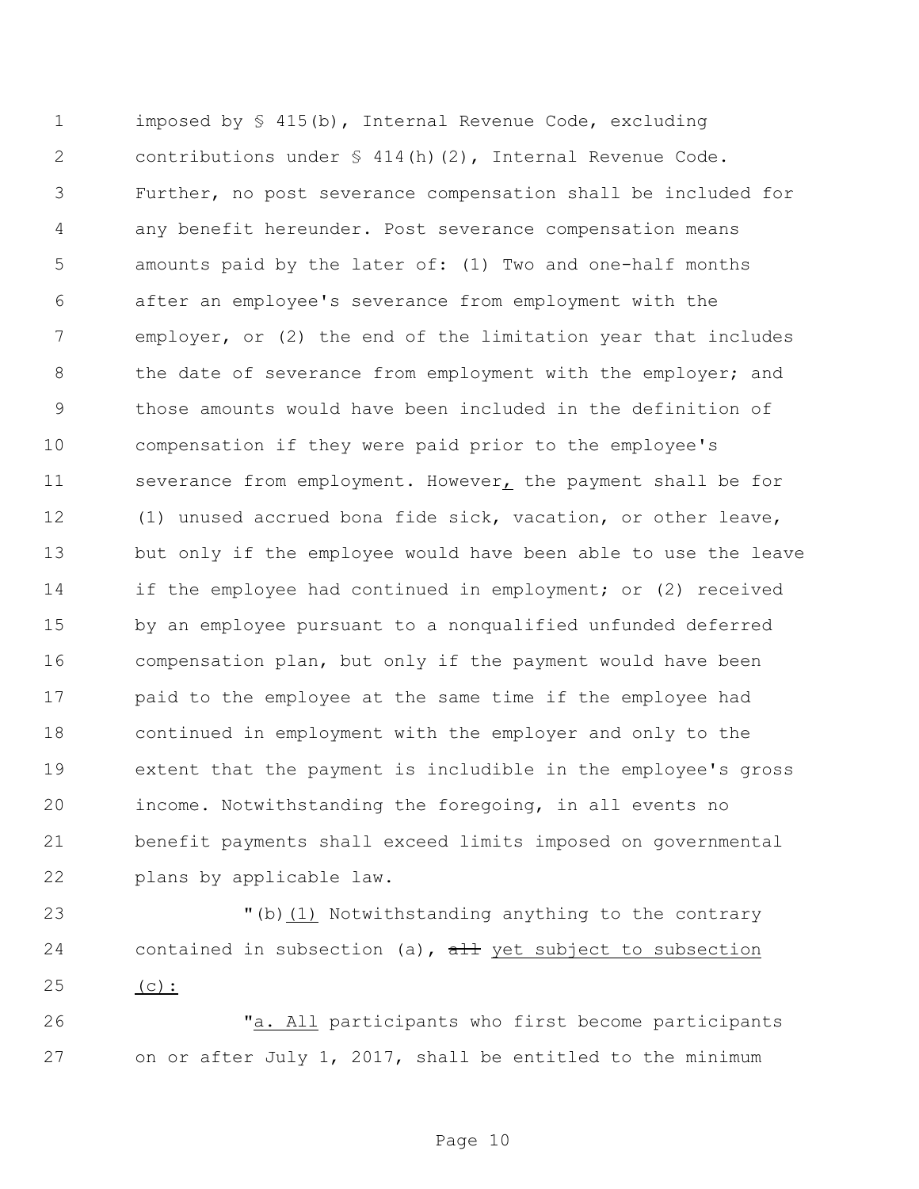1 imposed by § 415(b), Internal Revenue Code, excluding contributions under § 414(h)(2), Internal Revenue Code. Further, no post severance compensation shall be included for any benefit hereunder. Post severance compensation means amounts paid by the later of: (1) Two and one-half months after an employee's severance from employment with the employer, or (2) the end of the limitation year that includes 8 the date of severance from employment with the employer; and those amounts would have been included in the definition of compensation if they were paid prior to the employee's severance from employment. However, the payment shall be for (1) unused accrued bona fide sick, vacation, or other leave, but only if the employee would have been able to use the leave 14 if the employee had continued in employment; or (2) received by an employee pursuant to a nonqualified unfunded deferred compensation plan, but only if the payment would have been paid to the employee at the same time if the employee had continued in employment with the employer and only to the extent that the payment is includible in the employee's gross income. Notwithstanding the foregoing, in all events no benefit payments shall exceed limits imposed on governmental plans by applicable law.

 "(b)(1) Notwithstanding anything to the contrary 24 contained in subsection (a),  $\frac{1}{a}$  yet subject to subsection (c):

 "a. All participants who first become participants on or after July 1, 2017, shall be entitled to the minimum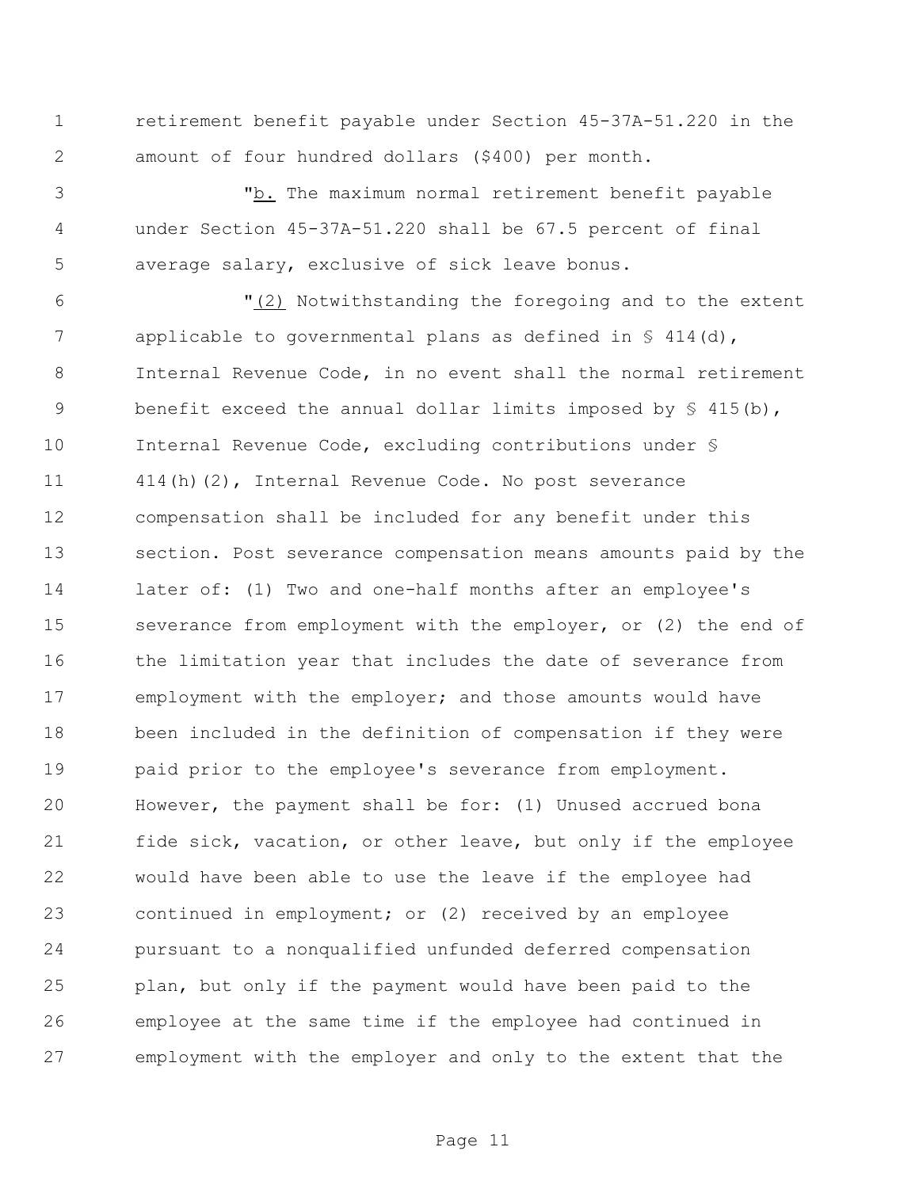retirement benefit payable under Section 45-37A-51.220 in the amount of four hundred dollars (\$400) per month.

 "b. The maximum normal retirement benefit payable under Section 45-37A-51.220 shall be 67.5 percent of final average salary, exclusive of sick leave bonus.

 "(2) Notwithstanding the foregoing and to the extent 7 applicable to governmental plans as defined in § 414(d), Internal Revenue Code, in no event shall the normal retirement 9 benefit exceed the annual dollar limits imposed by  $\S$  415(b), Internal Revenue Code, excluding contributions under § 414(h)(2), Internal Revenue Code. No post severance compensation shall be included for any benefit under this section. Post severance compensation means amounts paid by the later of: (1) Two and one-half months after an employee's severance from employment with the employer, or (2) the end of 16 the limitation year that includes the date of severance from employment with the employer; and those amounts would have been included in the definition of compensation if they were paid prior to the employee's severance from employment. However, the payment shall be for: (1) Unused accrued bona fide sick, vacation, or other leave, but only if the employee would have been able to use the leave if the employee had continued in employment; or (2) received by an employee pursuant to a nonqualified unfunded deferred compensation plan, but only if the payment would have been paid to the employee at the same time if the employee had continued in employment with the employer and only to the extent that the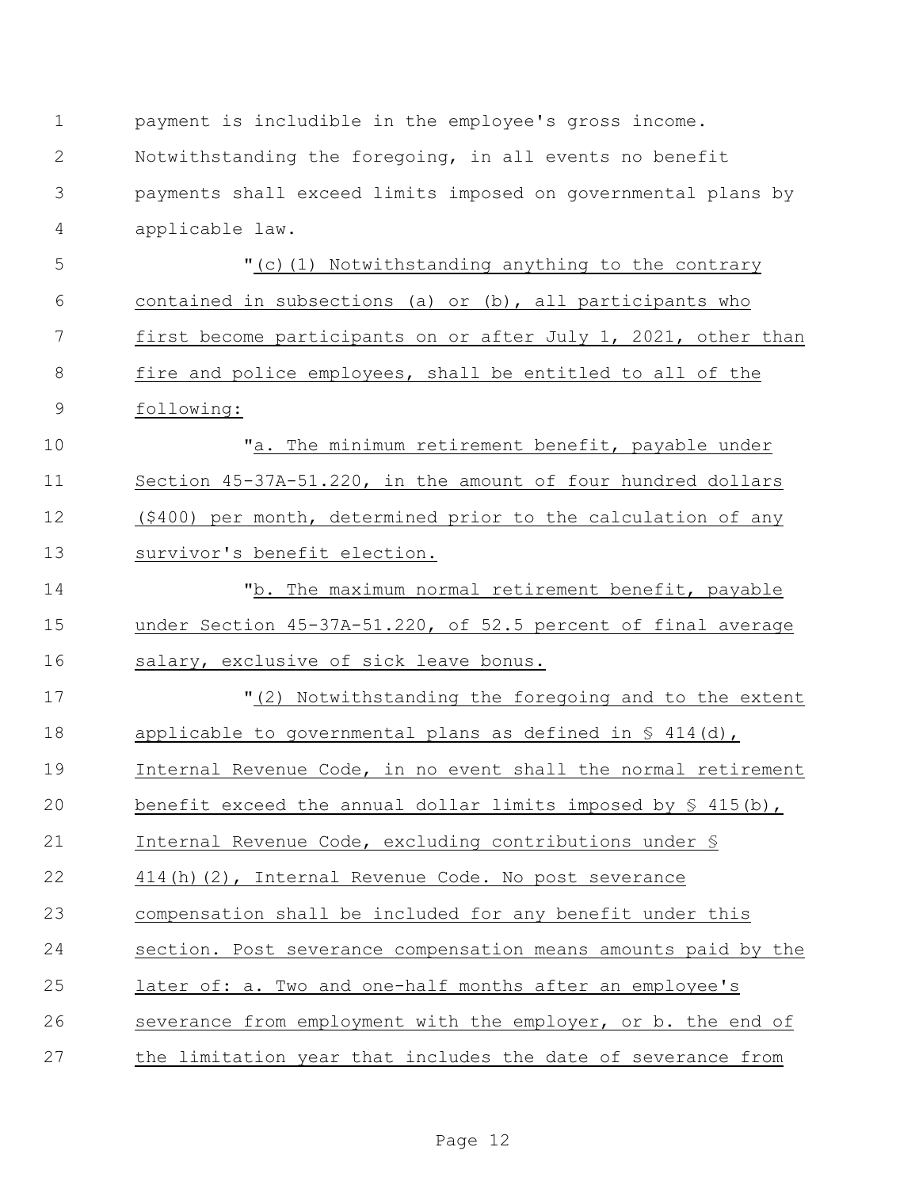| 1              | payment is includible in the employee's gross income.                |
|----------------|----------------------------------------------------------------------|
| 2              | Notwithstanding the foregoing, in all events no benefit              |
| 3              | payments shall exceed limits imposed on governmental plans by        |
| $\overline{4}$ | applicable law.                                                      |
| 5              | "(c)(1) Notwithstanding anything to the contrary                     |
| 6              | contained in subsections (a) or (b), all participants who            |
| 7              | first become participants on or after July 1, 2021, other than       |
| $8\,$          | fire and police employees, shall be entitled to all of the           |
| $\overline{9}$ | following:                                                           |
| 10             | "a. The minimum retirement benefit, payable under                    |
| 11             | Section 45-37A-51.220, in the amount of four hundred dollars         |
| 12             | (\$400) per month, determined prior to the calculation of any        |
| 13             | survivor's benefit election.                                         |
| 14             | "b. The maximum normal retirement benefit, payable                   |
| 15             | under Section 45-37A-51.220, of 52.5 percent of final average        |
| 16             | salary, exclusive of sick leave bonus.                               |
| 17             | "(2) Notwithstanding the foregoing and to the extent                 |
| 18             | applicable to governmental plans as defined in $\frac{6}{5}$ 414(d), |
| 19             | Internal Revenue Code, in no event shall the normal retirement       |
| 20             | benefit exceed the annual dollar limits imposed by $\S$ 415(b),      |
| 21             | Internal Revenue Code, excluding contributions under §               |
| 22             | 414(h)(2), Internal Revenue Code. No post severance                  |
| 23             | compensation shall be included for any benefit under this            |
| 24             | section. Post severance compensation means amounts paid by the       |
| 25             | later of: a. Two and one-half months after an employee's             |
| 26             | severance from employment with the employer, or b. the end of        |
| 27             | the limitation year that includes the date of severance from         |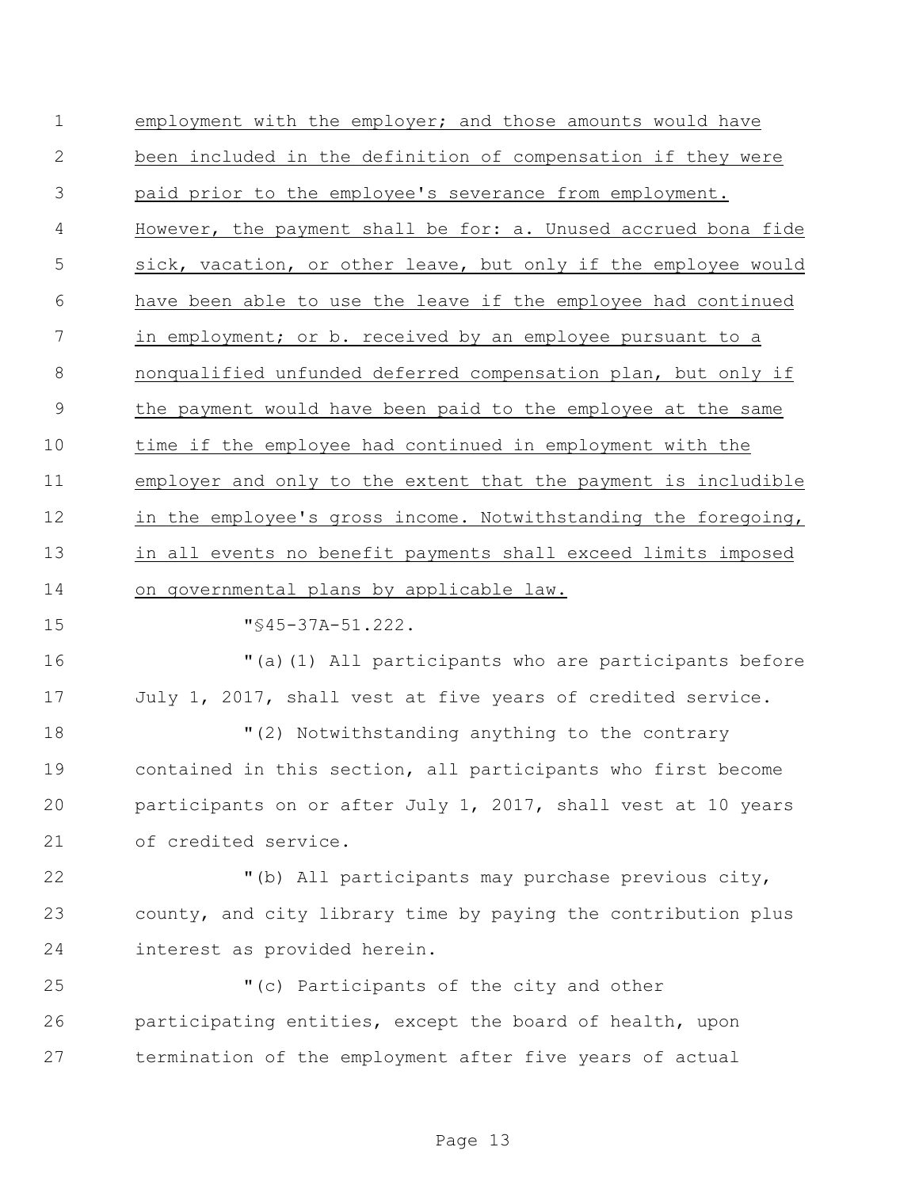employment with the employer; and those amounts would have been included in the definition of compensation if they were paid prior to the employee's severance from employment. However, the payment shall be for: a. Unused accrued bona fide sick, vacation, or other leave, but only if the employee would have been able to use the leave if the employee had continued in employment; or b. received by an employee pursuant to a nonqualified unfunded deferred compensation plan, but only if the payment would have been paid to the employee at the same time if the employee had continued in employment with the employer and only to the extent that the payment is includible 12 in the employee's gross income. Notwithstanding the foregoing, in all events no benefit payments shall exceed limits imposed on governmental plans by applicable law. "§45-37A-51.222. "(a)(1) All participants who are participants before July 1, 2017, shall vest at five years of credited service. "(2) Notwithstanding anything to the contrary contained in this section, all participants who first become participants on or after July 1, 2017, shall vest at 10 years of credited service. "(b) All participants may purchase previous city, county, and city library time by paying the contribution plus interest as provided herein. "(c) Participants of the city and other participating entities, except the board of health, upon termination of the employment after five years of actual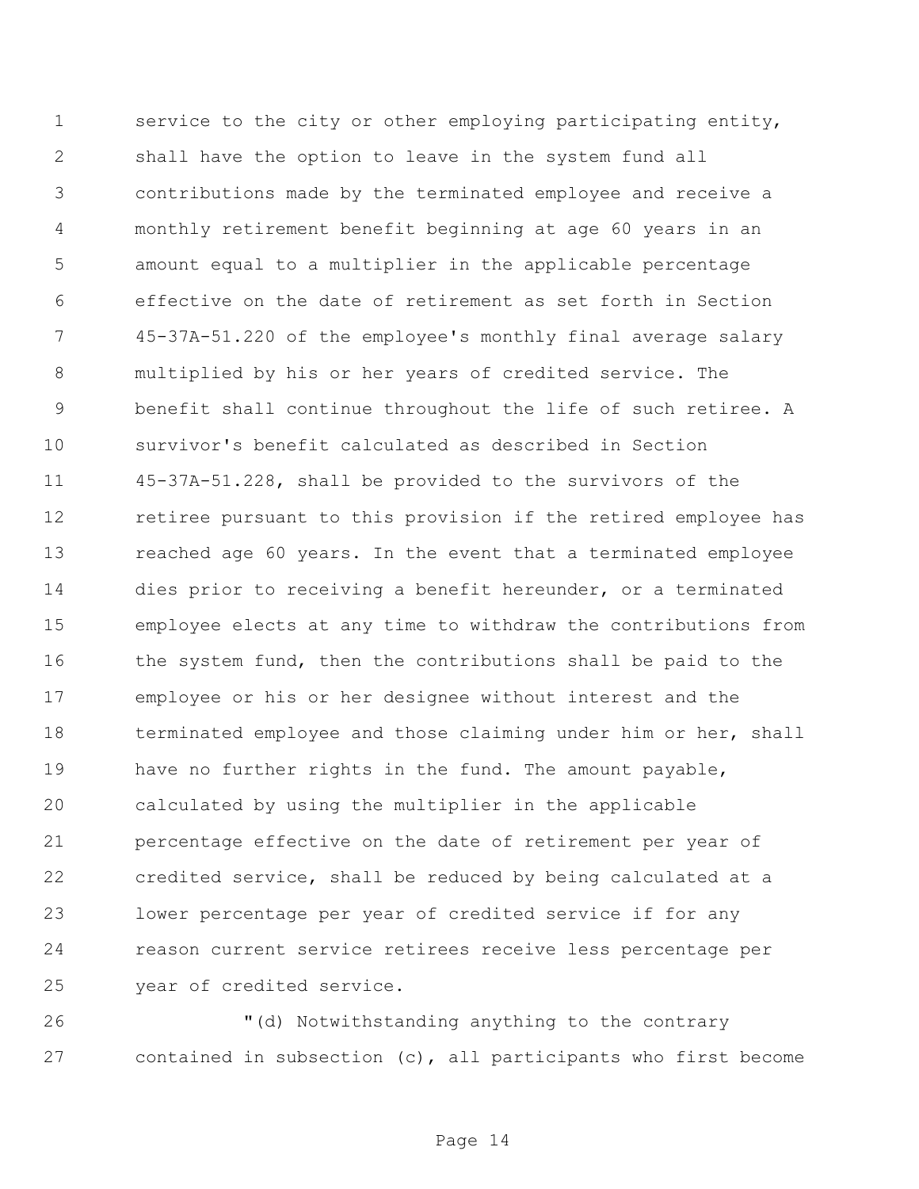service to the city or other employing participating entity, shall have the option to leave in the system fund all contributions made by the terminated employee and receive a monthly retirement benefit beginning at age 60 years in an amount equal to a multiplier in the applicable percentage effective on the date of retirement as set forth in Section 45-37A-51.220 of the employee's monthly final average salary multiplied by his or her years of credited service. The benefit shall continue throughout the life of such retiree. A survivor's benefit calculated as described in Section 45-37A-51.228, shall be provided to the survivors of the 12 retiree pursuant to this provision if the retired employee has reached age 60 years. In the event that a terminated employee dies prior to receiving a benefit hereunder, or a terminated employee elects at any time to withdraw the contributions from 16 the system fund, then the contributions shall be paid to the employee or his or her designee without interest and the 18 terminated employee and those claiming under him or her, shall have no further rights in the fund. The amount payable, calculated by using the multiplier in the applicable percentage effective on the date of retirement per year of credited service, shall be reduced by being calculated at a lower percentage per year of credited service if for any reason current service retirees receive less percentage per year of credited service.

 "(d) Notwithstanding anything to the contrary contained in subsection (c), all participants who first become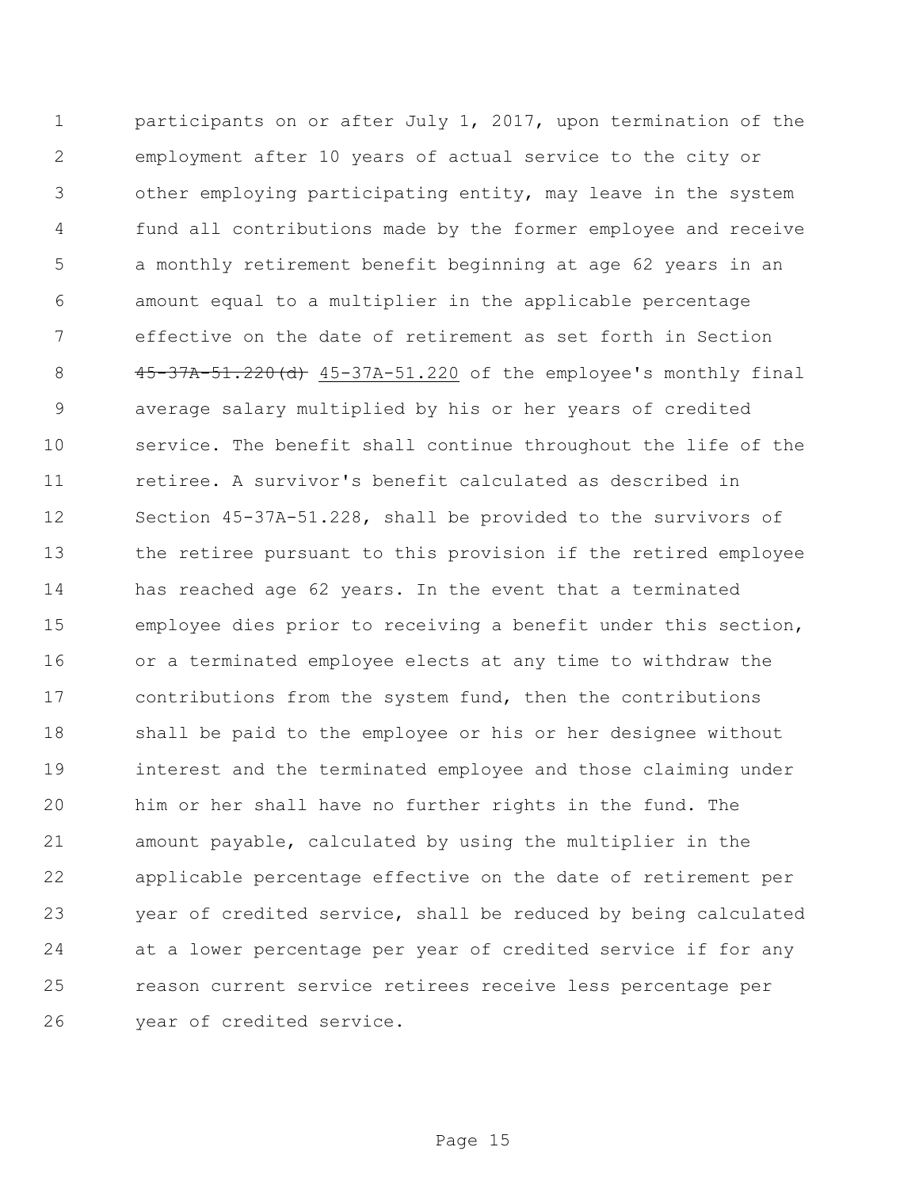participants on or after July 1, 2017, upon termination of the employment after 10 years of actual service to the city or other employing participating entity, may leave in the system fund all contributions made by the former employee and receive a monthly retirement benefit beginning at age 62 years in an amount equal to a multiplier in the applicable percentage effective on the date of retirement as set forth in Section 45-37A-51.220(d) 45-37A-51.220 of the employee's monthly final average salary multiplied by his or her years of credited service. The benefit shall continue throughout the life of the retiree. A survivor's benefit calculated as described in Section 45-37A-51.228, shall be provided to the survivors of the retiree pursuant to this provision if the retired employee has reached age 62 years. In the event that a terminated employee dies prior to receiving a benefit under this section, or a terminated employee elects at any time to withdraw the contributions from the system fund, then the contributions shall be paid to the employee or his or her designee without interest and the terminated employee and those claiming under him or her shall have no further rights in the fund. The amount payable, calculated by using the multiplier in the applicable percentage effective on the date of retirement per year of credited service, shall be reduced by being calculated at a lower percentage per year of credited service if for any reason current service retirees receive less percentage per year of credited service.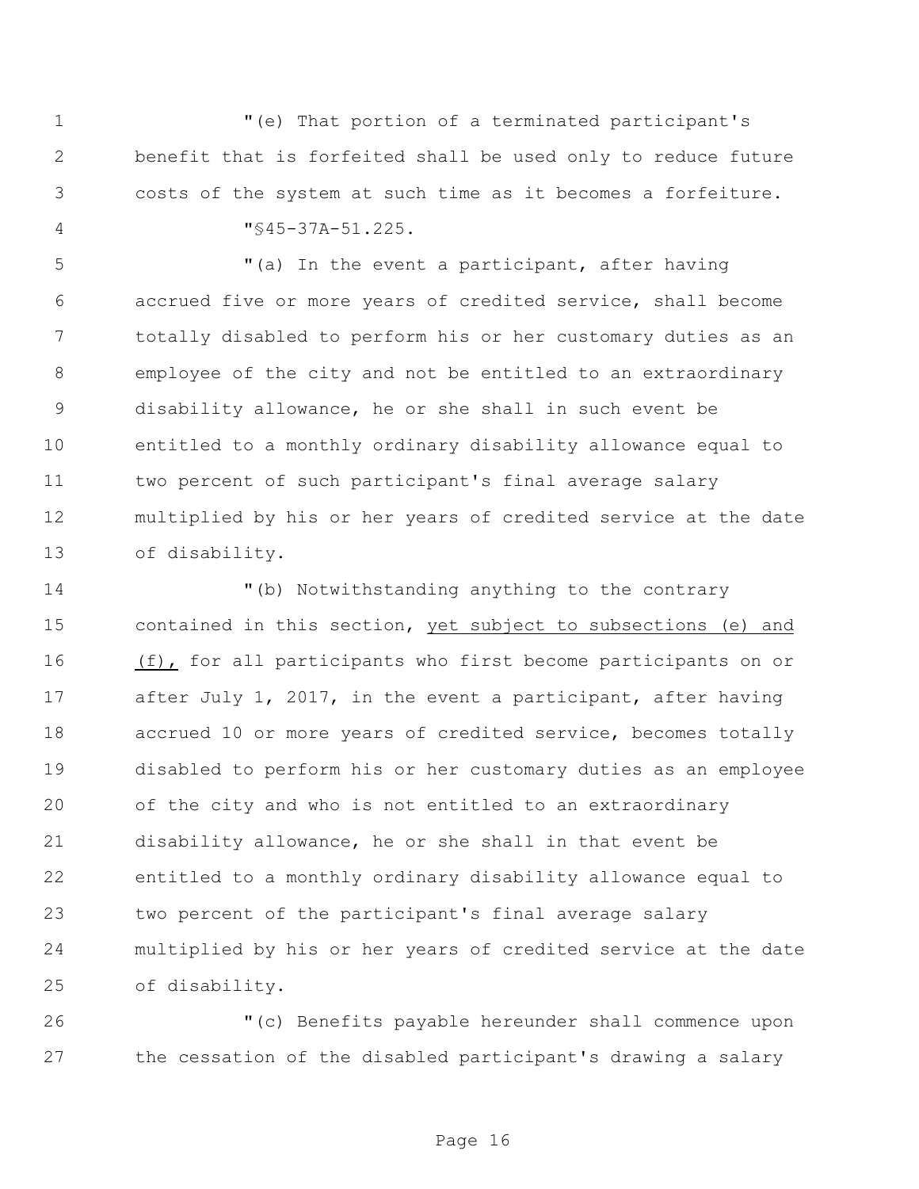"(e) That portion of a terminated participant's benefit that is forfeited shall be used only to reduce future costs of the system at such time as it becomes a forfeiture. "§45-37A-51.225.

 "(a) In the event a participant, after having accrued five or more years of credited service, shall become totally disabled to perform his or her customary duties as an employee of the city and not be entitled to an extraordinary disability allowance, he or she shall in such event be entitled to a monthly ordinary disability allowance equal to two percent of such participant's final average salary multiplied by his or her years of credited service at the date of disability.

 "(b) Notwithstanding anything to the contrary contained in this section, yet subject to subsections (e) and (f), for all participants who first become participants on or after July 1, 2017, in the event a participant, after having accrued 10 or more years of credited service, becomes totally disabled to perform his or her customary duties as an employee of the city and who is not entitled to an extraordinary disability allowance, he or she shall in that event be entitled to a monthly ordinary disability allowance equal to two percent of the participant's final average salary multiplied by his or her years of credited service at the date of disability.

 "(c) Benefits payable hereunder shall commence upon the cessation of the disabled participant's drawing a salary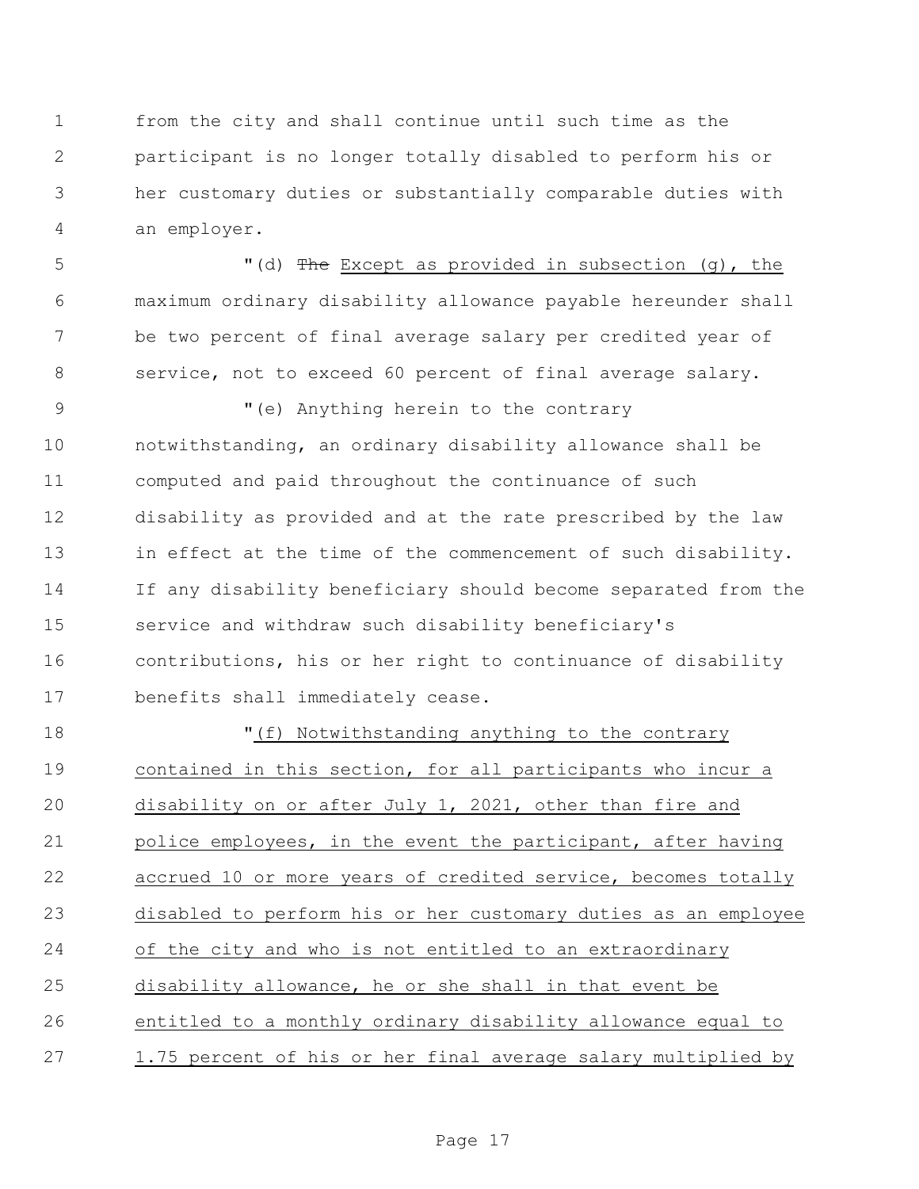from the city and shall continue until such time as the participant is no longer totally disabled to perform his or her customary duties or substantially comparable duties with an employer.

5 "(d) The Except as provided in subsection (g), the maximum ordinary disability allowance payable hereunder shall be two percent of final average salary per credited year of service, not to exceed 60 percent of final average salary.

 "(e) Anything herein to the contrary notwithstanding, an ordinary disability allowance shall be computed and paid throughout the continuance of such disability as provided and at the rate prescribed by the law 13 in effect at the time of the commencement of such disability. If any disability beneficiary should become separated from the service and withdraw such disability beneficiary's contributions, his or her right to continuance of disability benefits shall immediately cease.

 "(f) Notwithstanding anything to the contrary contained in this section, for all participants who incur a disability on or after July 1, 2021, other than fire and police employees, in the event the participant, after having accrued 10 or more years of credited service, becomes totally disabled to perform his or her customary duties as an employee of the city and who is not entitled to an extraordinary disability allowance, he or she shall in that event be entitled to a monthly ordinary disability allowance equal to 1.75 percent of his or her final average salary multiplied by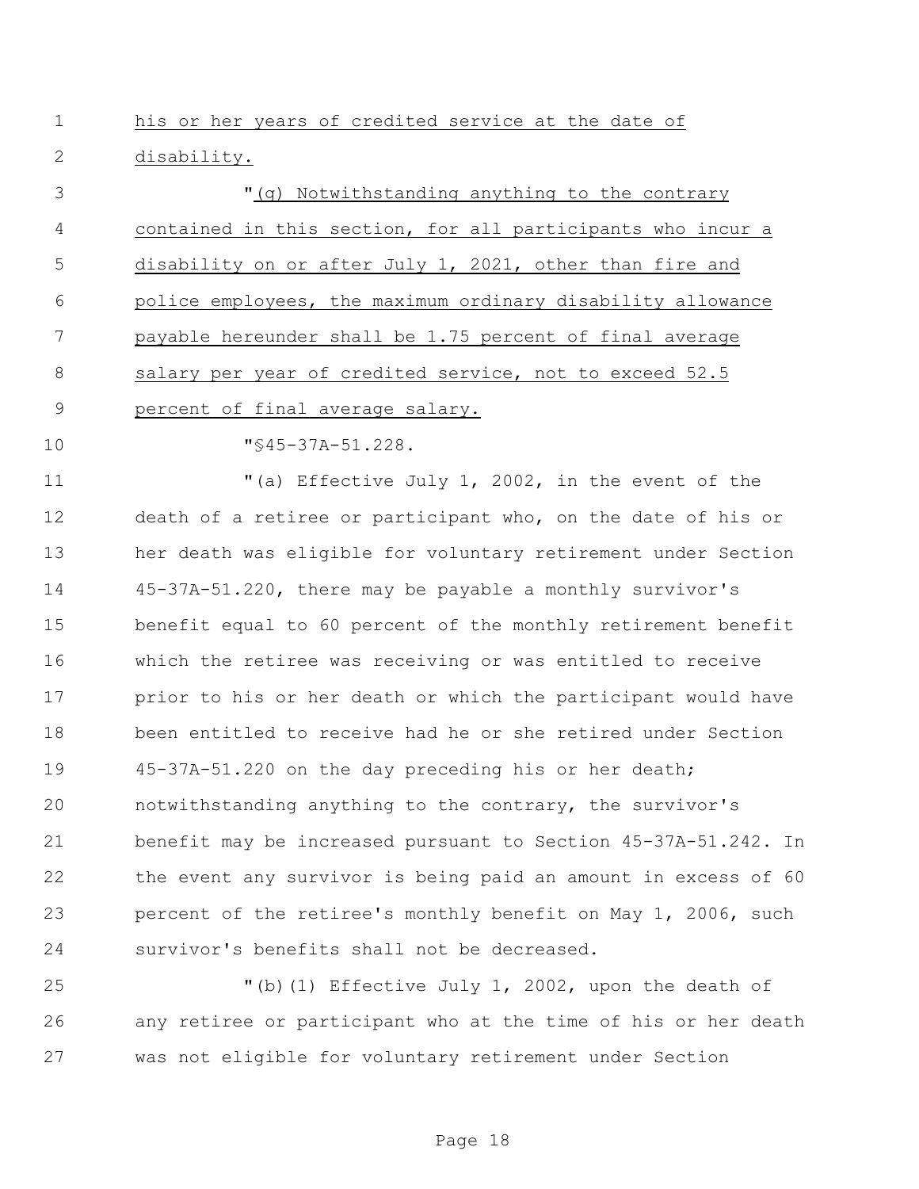his or her years of credited service at the date of disability.

 "(g) Notwithstanding anything to the contrary contained in this section, for all participants who incur a disability on or after July 1, 2021, other than fire and police employees, the maximum ordinary disability allowance payable hereunder shall be 1.75 percent of final average salary per year of credited service, not to exceed 52.5 percent of final average salary.

10  $\texttt{"}$ \$45-37A-51.228.

 "(a) Effective July 1, 2002, in the event of the death of a retiree or participant who, on the date of his or her death was eligible for voluntary retirement under Section 45-37A-51.220, there may be payable a monthly survivor's benefit equal to 60 percent of the monthly retirement benefit which the retiree was receiving or was entitled to receive prior to his or her death or which the participant would have been entitled to receive had he or she retired under Section 45-37A-51.220 on the day preceding his or her death; notwithstanding anything to the contrary, the survivor's benefit may be increased pursuant to Section 45-37A-51.242. In the event any survivor is being paid an amount in excess of 60 percent of the retiree's monthly benefit on May 1, 2006, such survivor's benefits shall not be decreased.

 "(b)(1) Effective July 1, 2002, upon the death of any retiree or participant who at the time of his or her death was not eligible for voluntary retirement under Section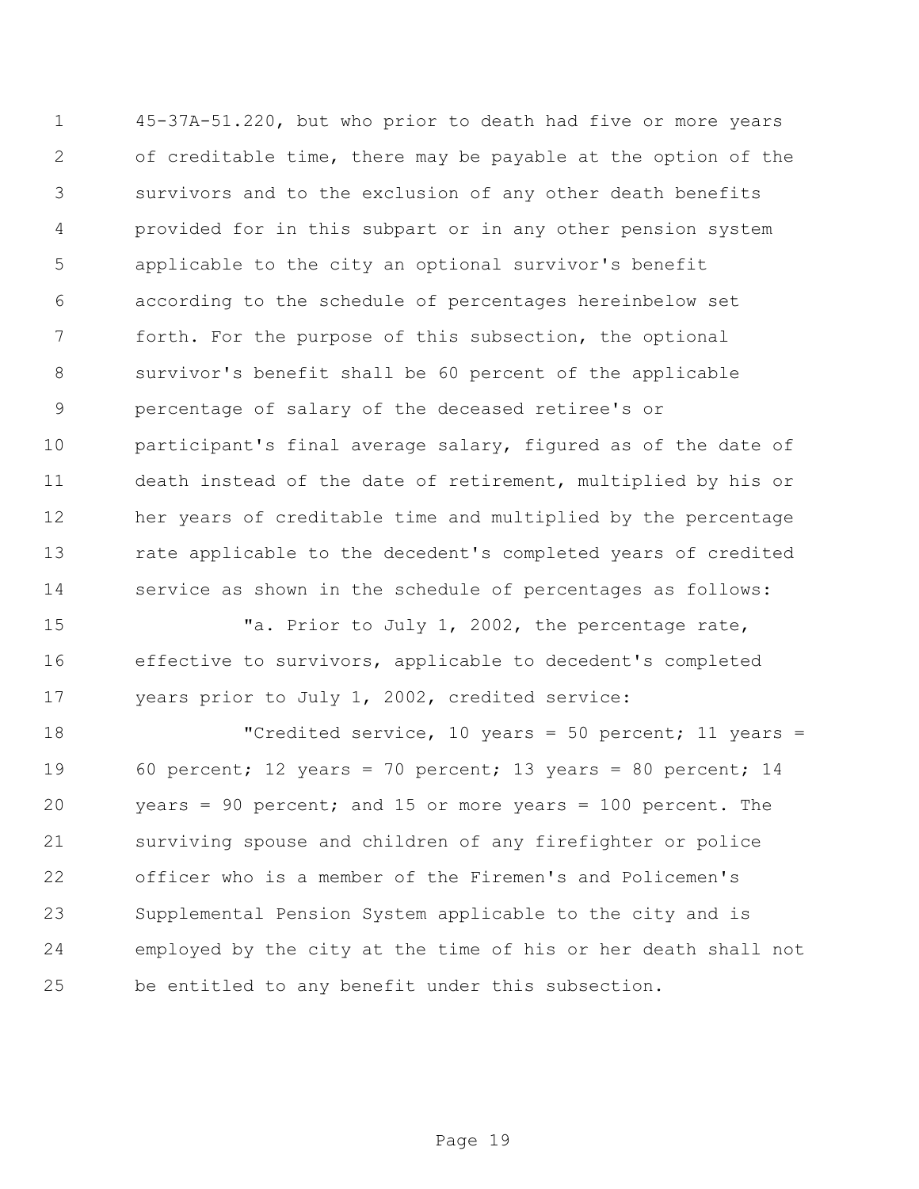45-37A-51.220, but who prior to death had five or more years of creditable time, there may be payable at the option of the survivors and to the exclusion of any other death benefits provided for in this subpart or in any other pension system applicable to the city an optional survivor's benefit according to the schedule of percentages hereinbelow set forth. For the purpose of this subsection, the optional survivor's benefit shall be 60 percent of the applicable percentage of salary of the deceased retiree's or participant's final average salary, figured as of the date of death instead of the date of retirement, multiplied by his or her years of creditable time and multiplied by the percentage rate applicable to the decedent's completed years of credited service as shown in the schedule of percentages as follows:

15 Ta. Prior to July 1, 2002, the percentage rate, effective to survivors, applicable to decedent's completed years prior to July 1, 2002, credited service:

18 The United Service, 10 years = 50 percent; 11 years = 60 percent; 12 years = 70 percent; 13 years = 80 percent; 14 years = 90 percent; and 15 or more years = 100 percent. The surviving spouse and children of any firefighter or police officer who is a member of the Firemen's and Policemen's Supplemental Pension System applicable to the city and is employed by the city at the time of his or her death shall not be entitled to any benefit under this subsection.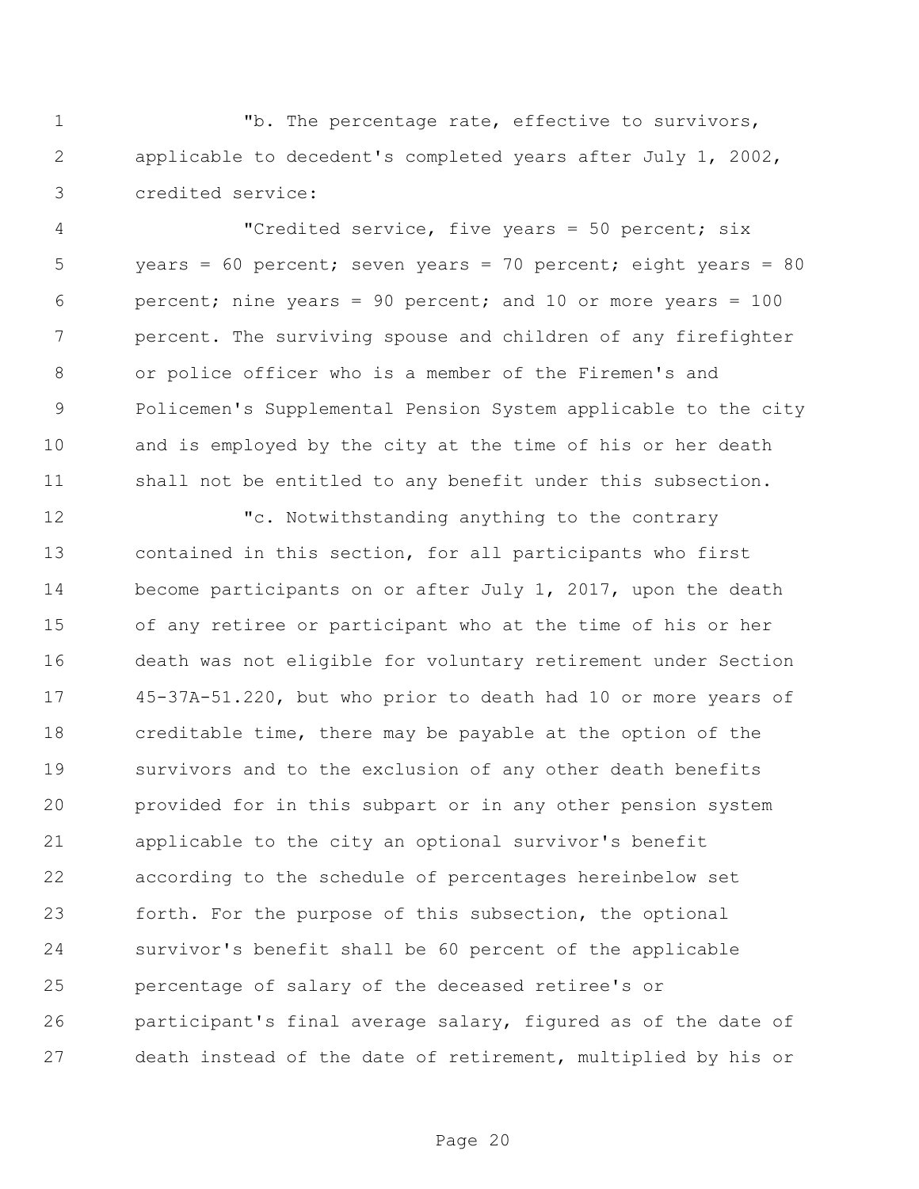"b. The percentage rate, effective to survivors, applicable to decedent's completed years after July 1, 2002, credited service:

 "Credited service, five years = 50 percent; six years = 60 percent; seven years = 70 percent; eight years = 80 percent; nine years = 90 percent; and 10 or more years = 100 percent. The surviving spouse and children of any firefighter or police officer who is a member of the Firemen's and Policemen's Supplemental Pension System applicable to the city and is employed by the city at the time of his or her death shall not be entitled to any benefit under this subsection.

 "c. Notwithstanding anything to the contrary contained in this section, for all participants who first become participants on or after July 1, 2017, upon the death of any retiree or participant who at the time of his or her death was not eligible for voluntary retirement under Section 45-37A-51.220, but who prior to death had 10 or more years of creditable time, there may be payable at the option of the survivors and to the exclusion of any other death benefits provided for in this subpart or in any other pension system applicable to the city an optional survivor's benefit according to the schedule of percentages hereinbelow set forth. For the purpose of this subsection, the optional survivor's benefit shall be 60 percent of the applicable percentage of salary of the deceased retiree's or participant's final average salary, figured as of the date of death instead of the date of retirement, multiplied by his or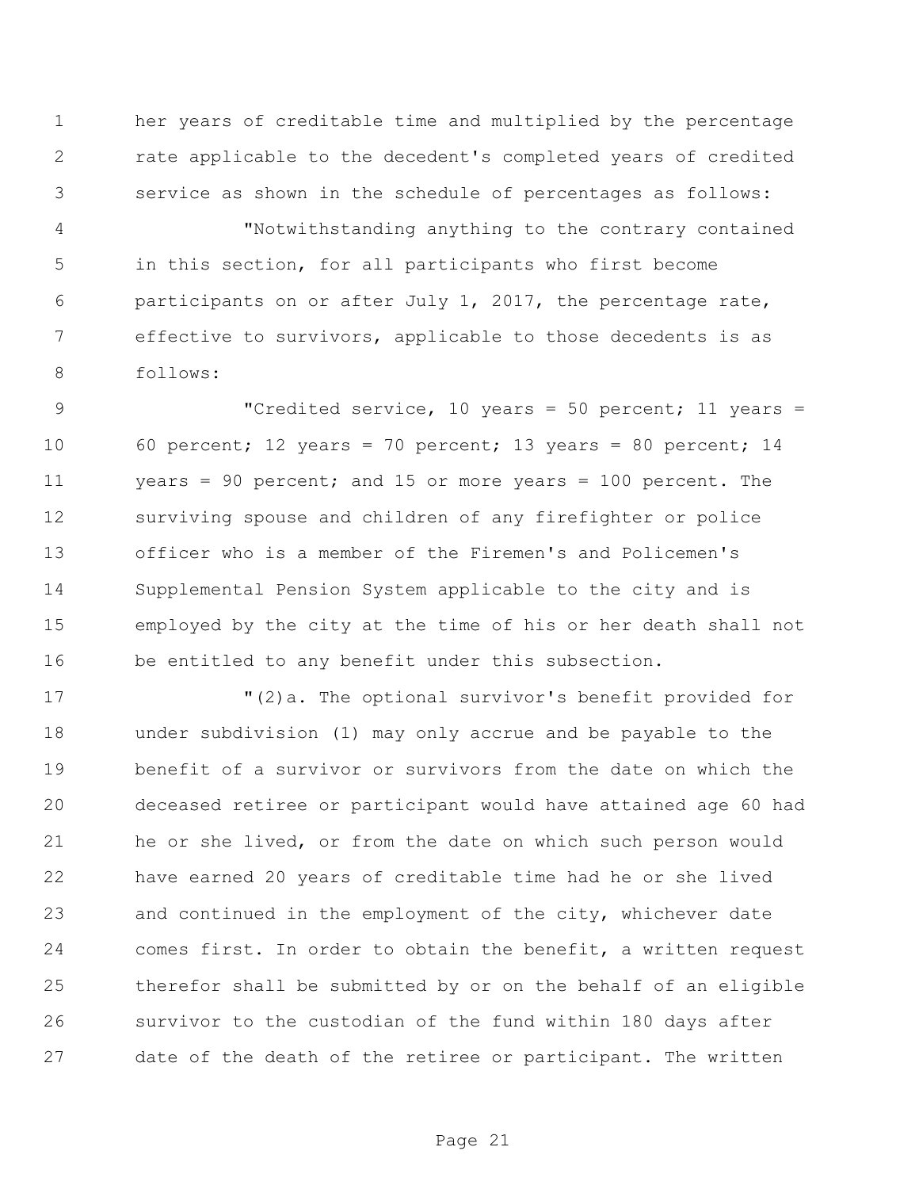her years of creditable time and multiplied by the percentage rate applicable to the decedent's completed years of credited service as shown in the schedule of percentages as follows:

 "Notwithstanding anything to the contrary contained in this section, for all participants who first become participants on or after July 1, 2017, the percentage rate, effective to survivors, applicable to those decedents is as follows:

 "Credited service, 10 years = 50 percent; 11 years = 60 percent; 12 years = 70 percent; 13 years = 80 percent; 14 years = 90 percent; and 15 or more years = 100 percent. The surviving spouse and children of any firefighter or police officer who is a member of the Firemen's and Policemen's Supplemental Pension System applicable to the city and is employed by the city at the time of his or her death shall not be entitled to any benefit under this subsection.

 "(2)a. The optional survivor's benefit provided for under subdivision (1) may only accrue and be payable to the benefit of a survivor or survivors from the date on which the deceased retiree or participant would have attained age 60 had he or she lived, or from the date on which such person would have earned 20 years of creditable time had he or she lived and continued in the employment of the city, whichever date comes first. In order to obtain the benefit, a written request therefor shall be submitted by or on the behalf of an eligible survivor to the custodian of the fund within 180 days after date of the death of the retiree or participant. The written

Page 21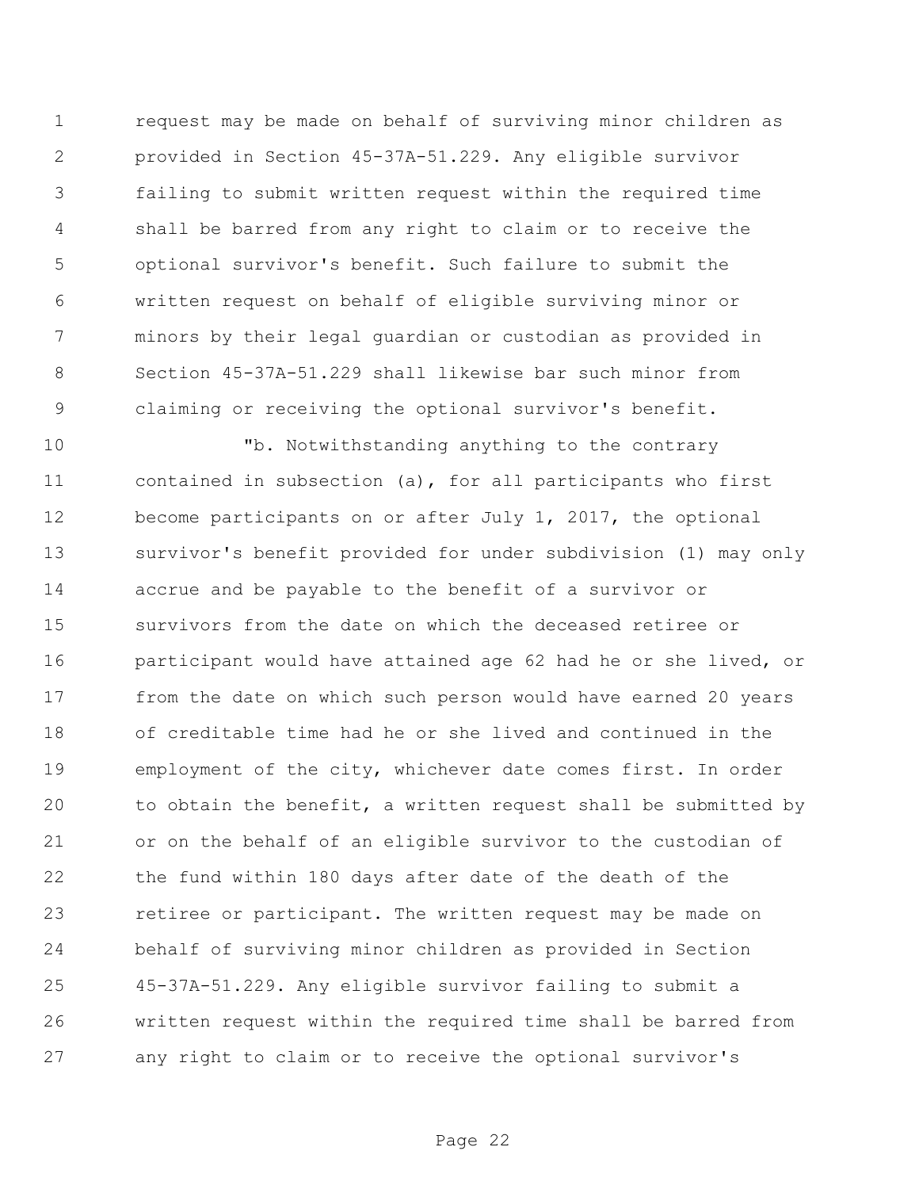request may be made on behalf of surviving minor children as provided in Section 45-37A-51.229. Any eligible survivor failing to submit written request within the required time shall be barred from any right to claim or to receive the optional survivor's benefit. Such failure to submit the written request on behalf of eligible surviving minor or minors by their legal guardian or custodian as provided in Section 45-37A-51.229 shall likewise bar such minor from claiming or receiving the optional survivor's benefit.

 "b. Notwithstanding anything to the contrary contained in subsection (a), for all participants who first become participants on or after July 1, 2017, the optional survivor's benefit provided for under subdivision (1) may only accrue and be payable to the benefit of a survivor or survivors from the date on which the deceased retiree or participant would have attained age 62 had he or she lived, or from the date on which such person would have earned 20 years of creditable time had he or she lived and continued in the employment of the city, whichever date comes first. In order to obtain the benefit, a written request shall be submitted by or on the behalf of an eligible survivor to the custodian of the fund within 180 days after date of the death of the retiree or participant. The written request may be made on behalf of surviving minor children as provided in Section 45-37A-51.229. Any eligible survivor failing to submit a written request within the required time shall be barred from any right to claim or to receive the optional survivor's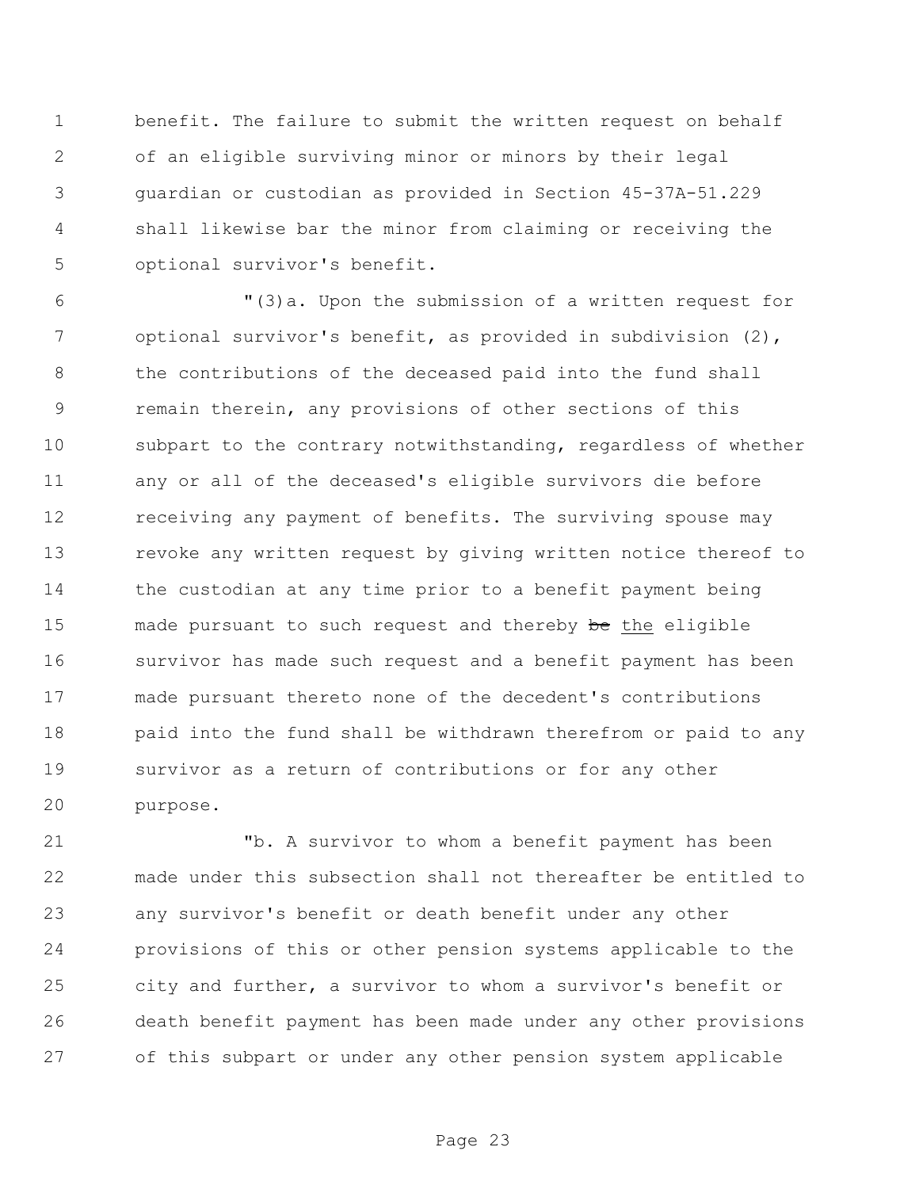benefit. The failure to submit the written request on behalf of an eligible surviving minor or minors by their legal guardian or custodian as provided in Section 45-37A-51.229 shall likewise bar the minor from claiming or receiving the optional survivor's benefit.

 "(3)a. Upon the submission of a written request for 7 optional survivor's benefit, as provided in subdivision (2), the contributions of the deceased paid into the fund shall remain therein, any provisions of other sections of this subpart to the contrary notwithstanding, regardless of whether any or all of the deceased's eligible survivors die before 12 receiving any payment of benefits. The surviving spouse may revoke any written request by giving written notice thereof to the custodian at any time prior to a benefit payment being 15 made pursuant to such request and thereby be the eligible survivor has made such request and a benefit payment has been made pursuant thereto none of the decedent's contributions 18 paid into the fund shall be withdrawn therefrom or paid to any survivor as a return of contributions or for any other purpose.

 "b. A survivor to whom a benefit payment has been made under this subsection shall not thereafter be entitled to any survivor's benefit or death benefit under any other provisions of this or other pension systems applicable to the city and further, a survivor to whom a survivor's benefit or death benefit payment has been made under any other provisions of this subpart or under any other pension system applicable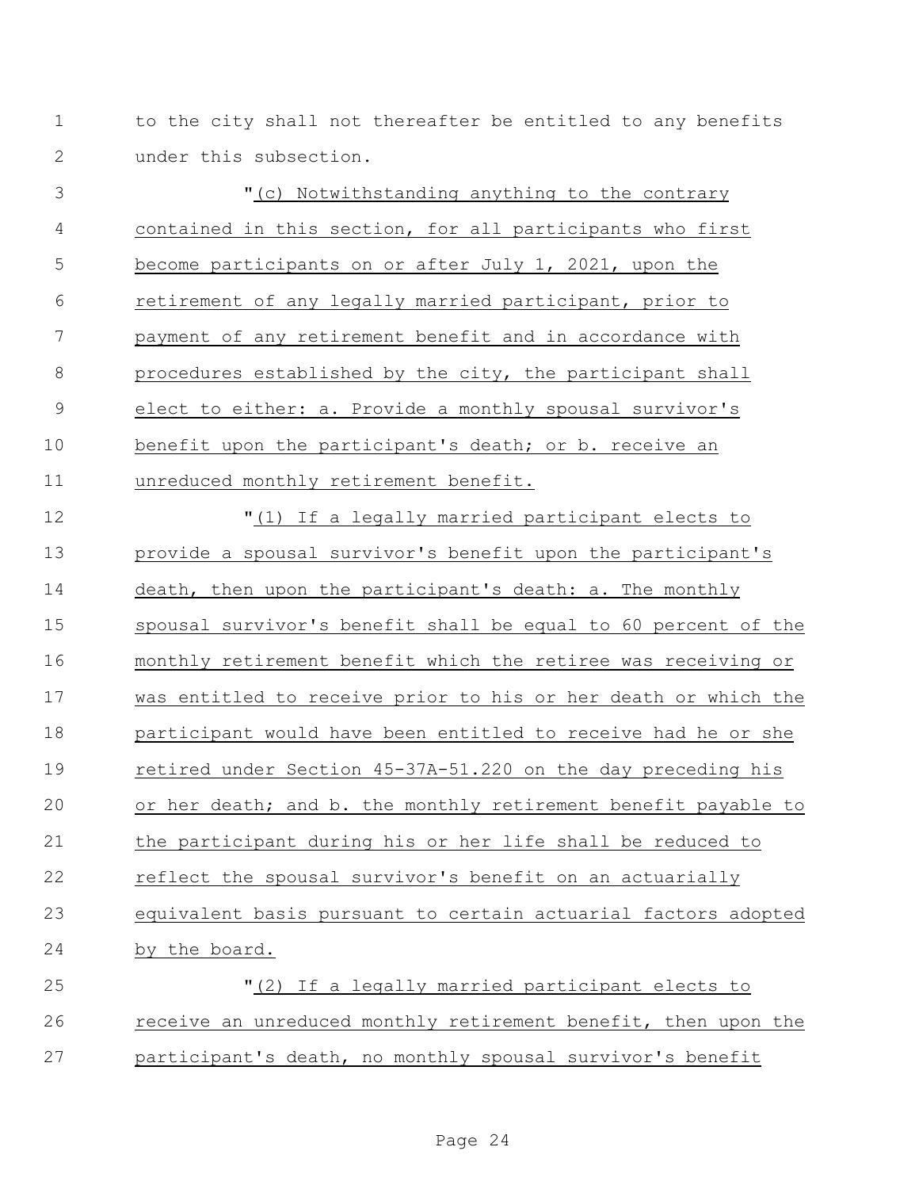1 to the city shall not thereafter be entitled to any benefits under this subsection.

 "(c) Notwithstanding anything to the contrary contained in this section, for all participants who first become participants on or after July 1, 2021, upon the retirement of any legally married participant, prior to payment of any retirement benefit and in accordance with procedures established by the city, the participant shall elect to either: a. Provide a monthly spousal survivor's benefit upon the participant's death; or b. receive an unreduced monthly retirement benefit. "(1) If a legally married participant elects to provide a spousal survivor's benefit upon the participant's death, then upon the participant's death: a. The monthly spousal survivor's benefit shall be equal to 60 percent of the monthly retirement benefit which the retiree was receiving or was entitled to receive prior to his or her death or which the participant would have been entitled to receive had he or she retired under Section 45-37A-51.220 on the day preceding his or her death; and b. the monthly retirement benefit payable to the participant during his or her life shall be reduced to reflect the spousal survivor's benefit on an actuarially equivalent basis pursuant to certain actuarial factors adopted by the board. "(2) If a legally married participant elects to receive an unreduced monthly retirement benefit, then upon the

participant's death, no monthly spousal survivor's benefit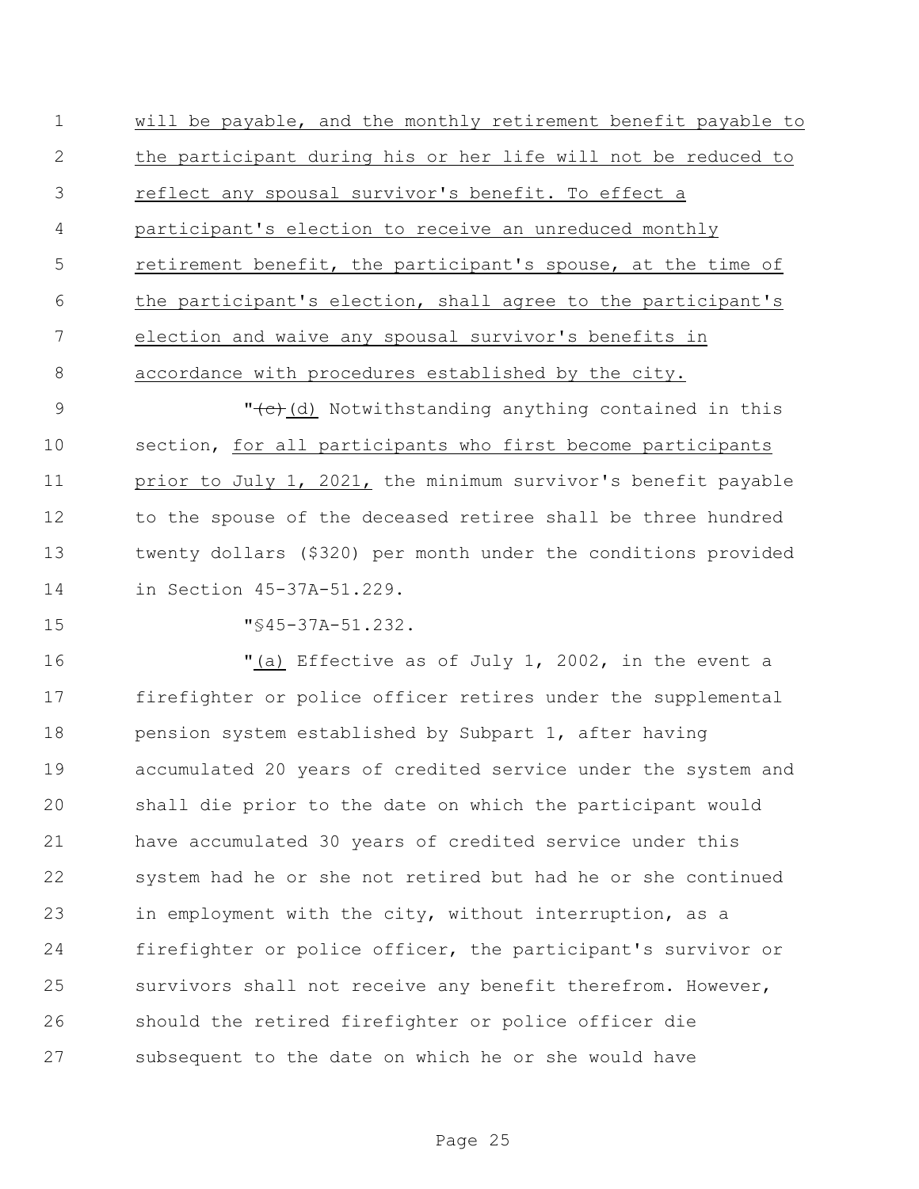will be payable, and the monthly retirement benefit payable to the participant during his or her life will not be reduced to reflect any spousal survivor's benefit. To effect a participant's election to receive an unreduced monthly retirement benefit, the participant's spouse, at the time of the participant's election, shall agree to the participant's election and waive any spousal survivor's benefits in accordance with procedures established by the city.

9 "<del>(c)</del>(d) Notwithstanding anything contained in this section, for all participants who first become participants prior to July 1, 2021, the minimum survivor's benefit payable 12 to the spouse of the deceased retiree shall be three hundred twenty dollars (\$320) per month under the conditions provided in Section 45-37A-51.229.

15 "S45-37A-51.232.

 "(a) Effective as of July 1, 2002, in the event a firefighter or police officer retires under the supplemental 18 pension system established by Subpart 1, after having accumulated 20 years of credited service under the system and shall die prior to the date on which the participant would have accumulated 30 years of credited service under this system had he or she not retired but had he or she continued in employment with the city, without interruption, as a firefighter or police officer, the participant's survivor or survivors shall not receive any benefit therefrom. However, should the retired firefighter or police officer die subsequent to the date on which he or she would have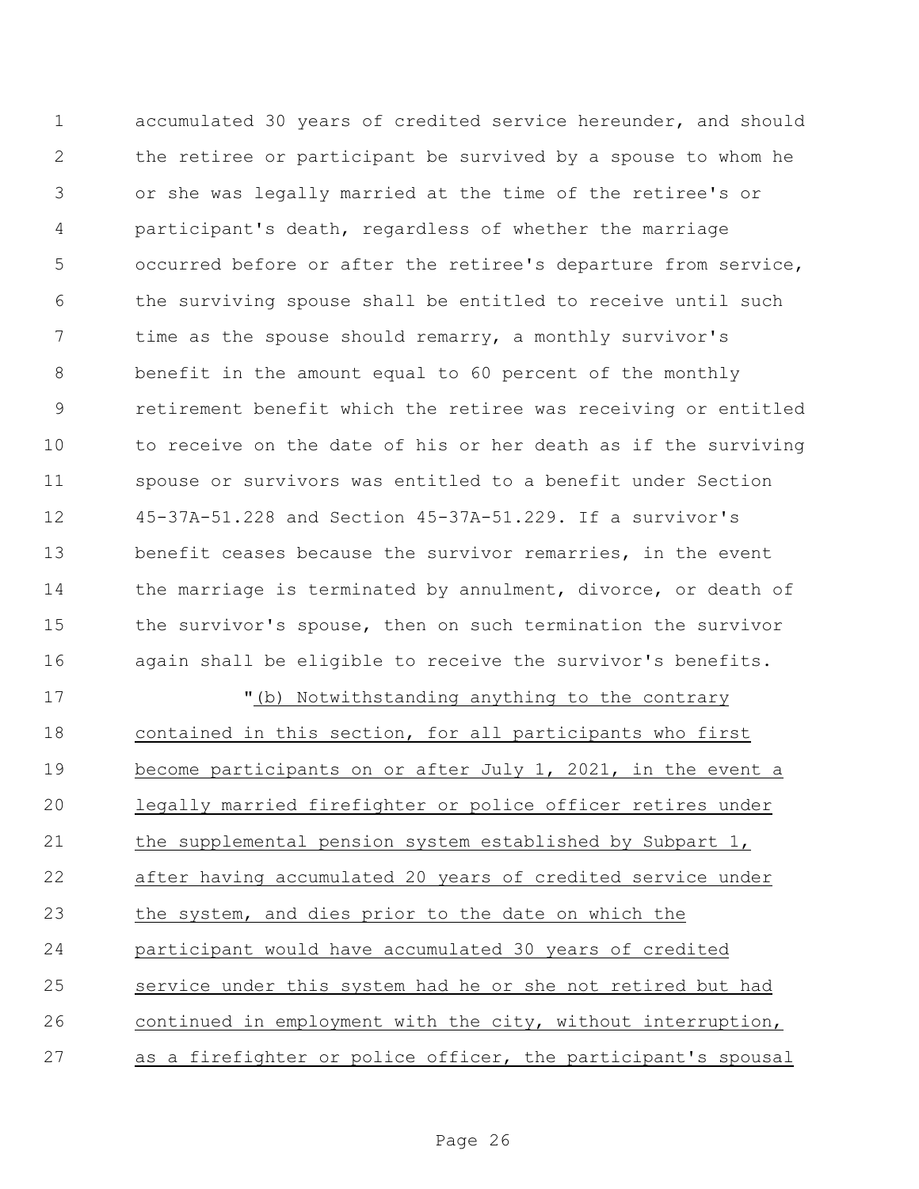accumulated 30 years of credited service hereunder, and should the retiree or participant be survived by a spouse to whom he or she was legally married at the time of the retiree's or participant's death, regardless of whether the marriage occurred before or after the retiree's departure from service, the surviving spouse shall be entitled to receive until such time as the spouse should remarry, a monthly survivor's benefit in the amount equal to 60 percent of the monthly retirement benefit which the retiree was receiving or entitled to receive on the date of his or her death as if the surviving spouse or survivors was entitled to a benefit under Section 45-37A-51.228 and Section 45-37A-51.229. If a survivor's benefit ceases because the survivor remarries, in the event 14 the marriage is terminated by annulment, divorce, or death of the survivor's spouse, then on such termination the survivor again shall be eligible to receive the survivor's benefits.

 "(b) Notwithstanding anything to the contrary contained in this section, for all participants who first become participants on or after July 1, 2021, in the event a legally married firefighter or police officer retires under the supplemental pension system established by Subpart 1, after having accumulated 20 years of credited service under the system, and dies prior to the date on which the participant would have accumulated 30 years of credited service under this system had he or she not retired but had continued in employment with the city, without interruption, as a firefighter or police officer, the participant's spousal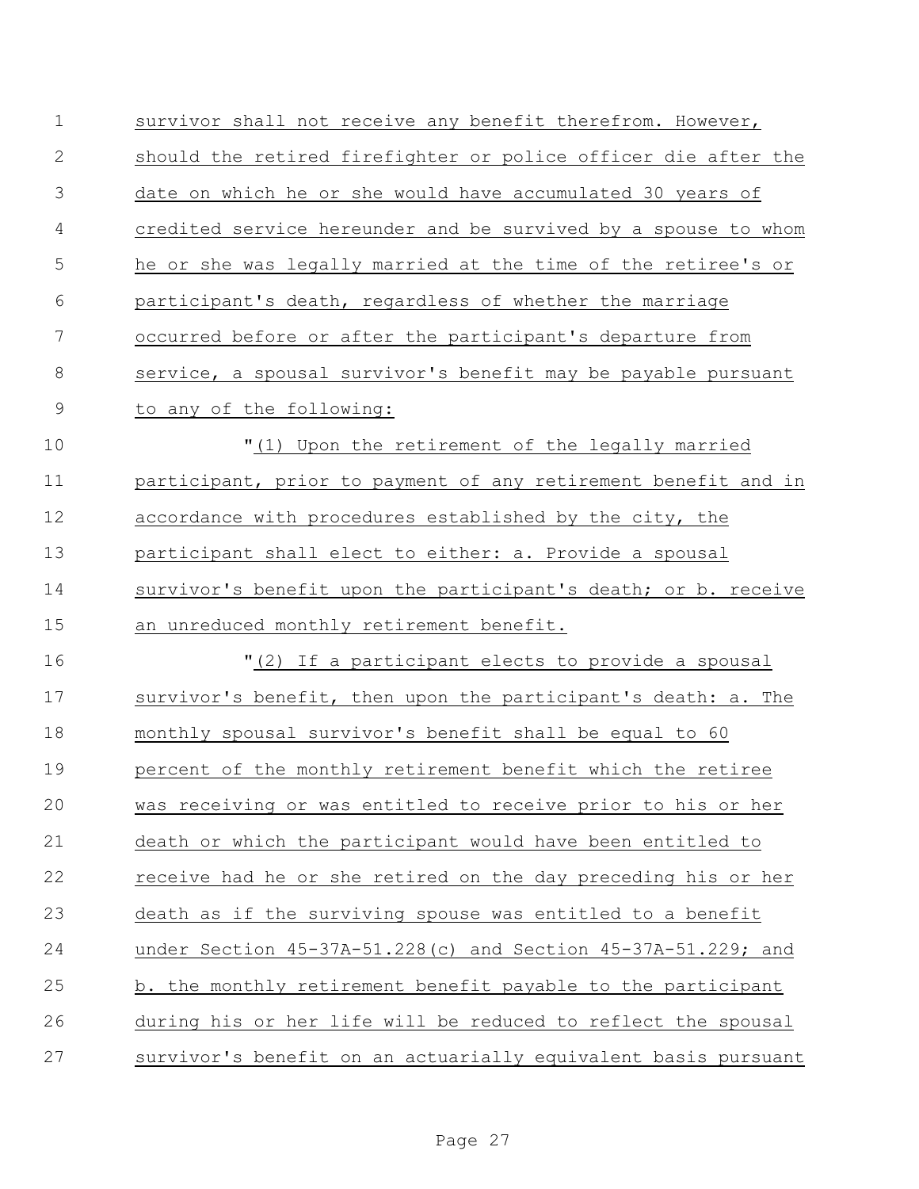| $\mathbf 1$   | survivor shall not receive any benefit therefrom. However,     |
|---------------|----------------------------------------------------------------|
| $\mathbf{2}$  | should the retired firefighter or police officer die after the |
| 3             | date on which he or she would have accumulated 30 years of     |
| 4             | credited service hereunder and be survived by a spouse to whom |
| 5             | he or she was legally married at the time of the retiree's or  |
| 6             | participant's death, regardless of whether the marriage        |
| 7             | occurred before or after the participant's departure from      |
| $\,8\,$       | service, a spousal survivor's benefit may be payable pursuant  |
| $\mathcal{G}$ | to any of the following:                                       |
| 10            | "(1) Upon the retirement of the legally married                |
| 11            | participant, prior to payment of any retirement benefit and in |
| 12            | accordance with procedures established by the city, the        |
| 13            | participant shall elect to either: a. Provide a spousal        |
| 14            | survivor's benefit upon the participant's death; or b. receive |
| 15            | an unreduced monthly retirement benefit.                       |
| 16            | "(2) If a participant elects to provide a spousal              |
| 17            | survivor's benefit, then upon the participant's death: a. The  |
| 18            | monthly spousal survivor's benefit shall be equal to 60        |
| 19            | percent of the monthly retirement benefit which the retiree    |
| 20            | was receiving or was entitled to receive prior to his or her   |
| 21            | death or which the participant would have been entitled to     |
| 22            | receive had he or she retired on the day preceding his or her  |
| 23            | death as if the surviving spouse was entitled to a benefit     |
| 24            | under Section 45-37A-51.228(c) and Section 45-37A-51.229; and  |
| 25            | b. the monthly retirement benefit payable to the participant   |
| 26            | during his or her life will be reduced to reflect the spousal  |
| 27            | survivor's benefit on an actuarially equivalent basis pursuant |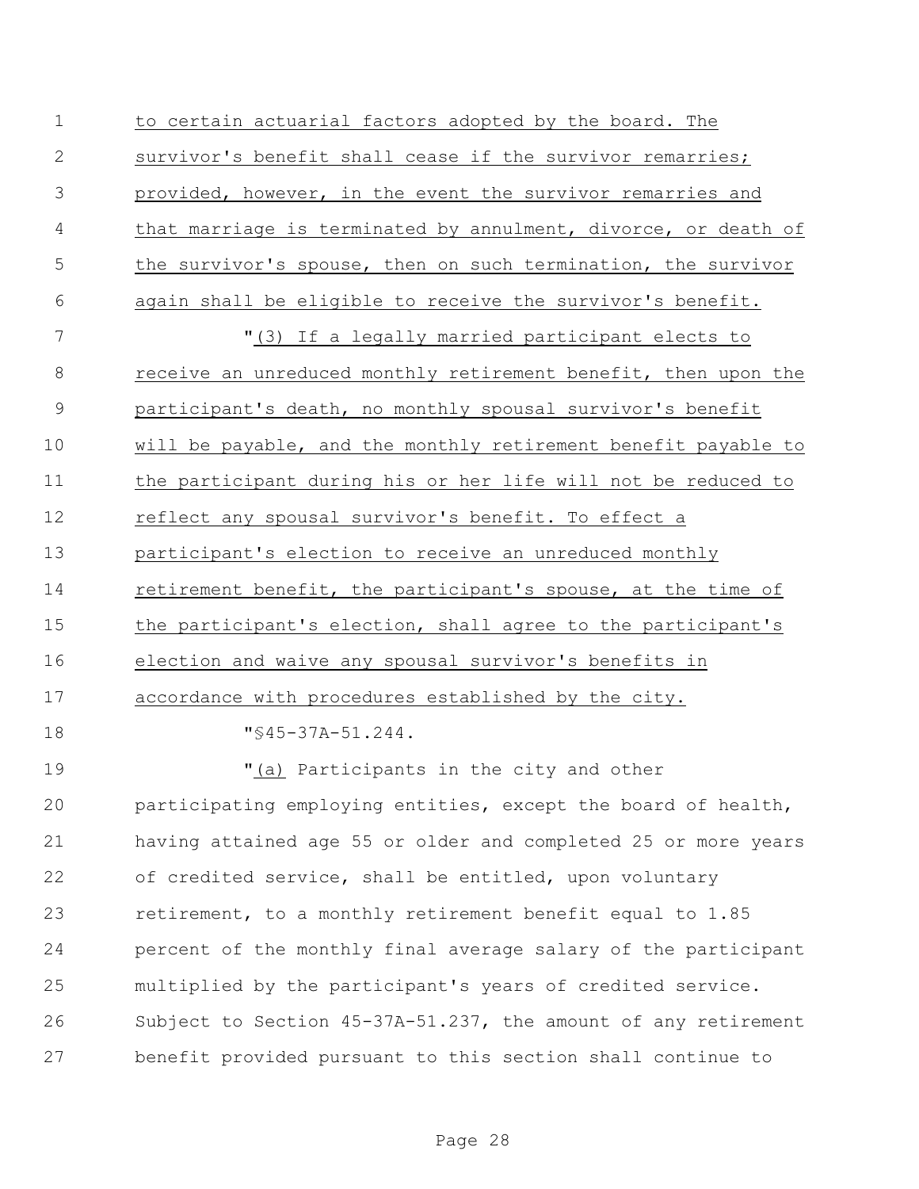| $\mathbf 1$    | to certain actuarial factors adopted by the board. The         |
|----------------|----------------------------------------------------------------|
| $\mathbf{2}$   | survivor's benefit shall cease if the survivor remarries;      |
| 3              | provided, however, in the event the survivor remarries and     |
| 4              | that marriage is terminated by annulment, divorce, or death of |
| 5              | the survivor's spouse, then on such termination, the survivor  |
| 6              | again shall be eligible to receive the survivor's benefit.     |
| 7              | "(3) If a legally married participant elects to                |
| $8\,$          | receive an unreduced monthly retirement benefit, then upon the |
| $\overline{9}$ | participant's death, no monthly spousal survivor's benefit     |
| 10             | will be payable, and the monthly retirement benefit payable to |
| 11             | the participant during his or her life will not be reduced to  |
| 12             | reflect any spousal survivor's benefit. To effect a            |
| 13             | participant's election to receive an unreduced monthly         |
| 14             | retirement benefit, the participant's spouse, at the time of   |
| 15             | the participant's election, shall agree to the participant's   |
| 16             | election and waive any spousal survivor's benefits in          |
| 17             | accordance with procedures established by the city.            |
| 18             | $"$ \$45-37A-51.244.                                           |
| 19             | "(a) Participants in the city and other                        |
| 20             | participating employing entities, except the board of health,  |
| 21             | having attained age 55 or older and completed 25 or more years |
| 22             | of credited service, shall be entitled, upon voluntary         |
| 23             | retirement, to a monthly retirement benefit equal to 1.85      |
| 24             | percent of the monthly final average salary of the participant |
| 25             | multiplied by the participant's years of credited service.     |
| 26             | Subject to Section 45-37A-51.237, the amount of any retirement |
| 27             | benefit provided pursuant to this section shall continue to    |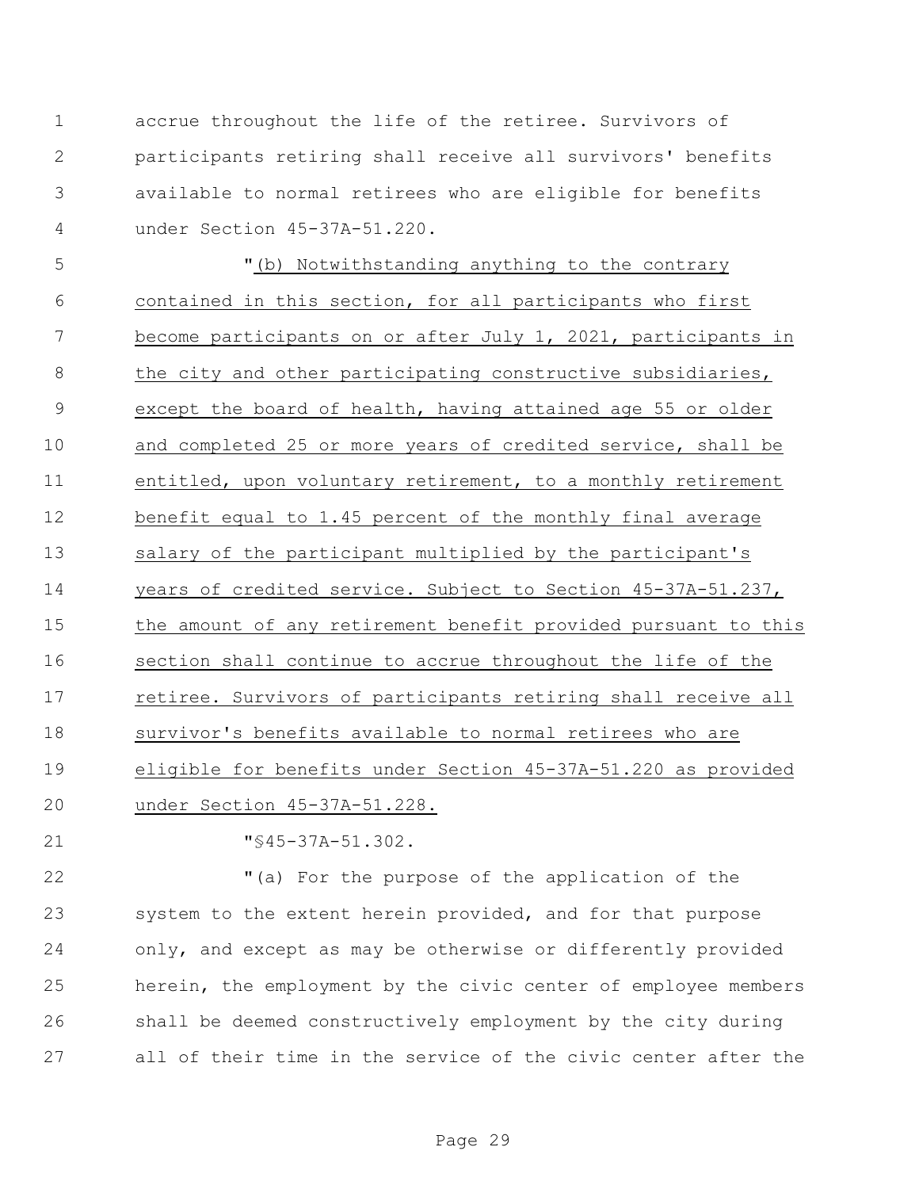accrue throughout the life of the retiree. Survivors of participants retiring shall receive all survivors' benefits available to normal retirees who are eligible for benefits under Section 45-37A-51.220.

 "(b) Notwithstanding anything to the contrary contained in this section, for all participants who first become participants on or after July 1, 2021, participants in 8 the city and other participating constructive subsidiaries, except the board of health, having attained age 55 or older and completed 25 or more years of credited service, shall be entitled, upon voluntary retirement, to a monthly retirement benefit equal to 1.45 percent of the monthly final average salary of the participant multiplied by the participant's years of credited service. Subject to Section 45-37A-51.237, the amount of any retirement benefit provided pursuant to this section shall continue to accrue throughout the life of the retiree. Survivors of participants retiring shall receive all survivor's benefits available to normal retirees who are eligible for benefits under Section 45-37A-51.220 as provided under Section 45-37A-51.228.

"§45-37A-51.302.

 "(a) For the purpose of the application of the system to the extent herein provided, and for that purpose only, and except as may be otherwise or differently provided herein, the employment by the civic center of employee members shall be deemed constructively employment by the city during all of their time in the service of the civic center after the

Page 29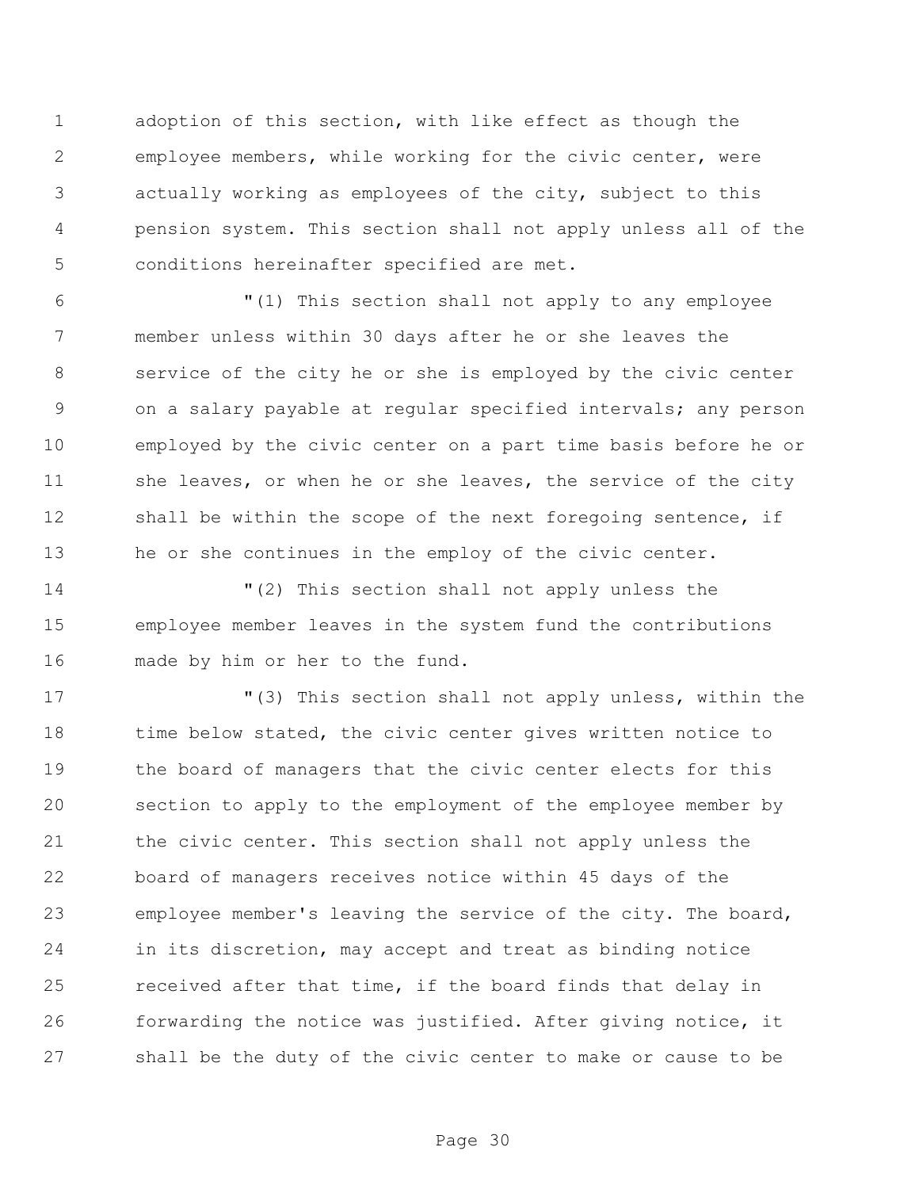adoption of this section, with like effect as though the employee members, while working for the civic center, were actually working as employees of the city, subject to this pension system. This section shall not apply unless all of the conditions hereinafter specified are met.

 "(1) This section shall not apply to any employee member unless within 30 days after he or she leaves the service of the city he or she is employed by the civic center on a salary payable at regular specified intervals; any person employed by the civic center on a part time basis before he or 11 she leaves, or when he or she leaves, the service of the city 12 shall be within the scope of the next foregoing sentence, if he or she continues in the employ of the civic center.

 "(2) This section shall not apply unless the employee member leaves in the system fund the contributions made by him or her to the fund.

 "(3) This section shall not apply unless, within the 18 time below stated, the civic center gives written notice to the board of managers that the civic center elects for this section to apply to the employment of the employee member by the civic center. This section shall not apply unless the board of managers receives notice within 45 days of the employee member's leaving the service of the city. The board, in its discretion, may accept and treat as binding notice received after that time, if the board finds that delay in forwarding the notice was justified. After giving notice, it shall be the duty of the civic center to make or cause to be

Page 30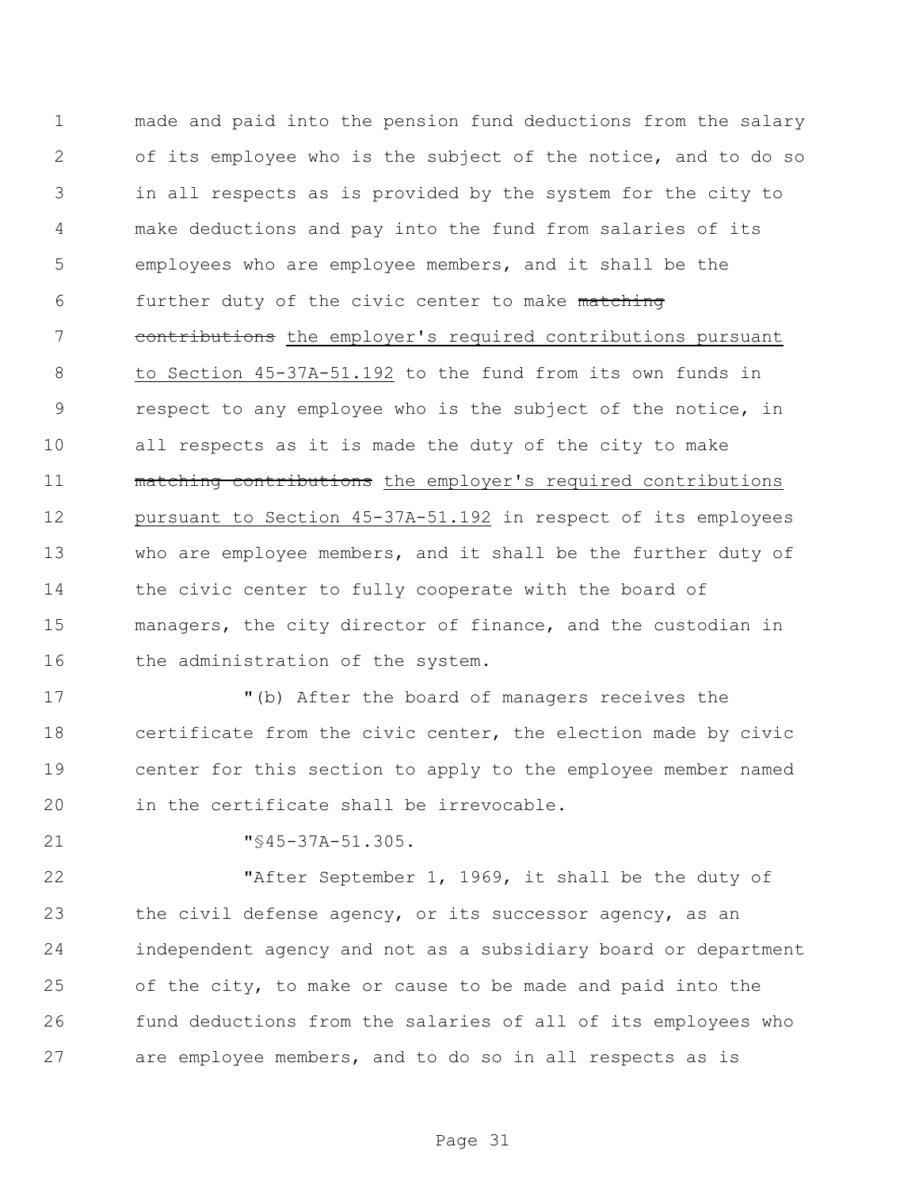made and paid into the pension fund deductions from the salary of its employee who is the subject of the notice, and to do so in all respects as is provided by the system for the city to make deductions and pay into the fund from salaries of its employees who are employee members, and it shall be the further duty of the civic center to make matching 7 contributions the employer's required contributions pursuant to Section 45-37A-51.192 to the fund from its own funds in respect to any employee who is the subject of the notice, in all respects as it is made the duty of the city to make 11 matching contributions the employer's required contributions pursuant to Section 45-37A-51.192 in respect of its employees who are employee members, and it shall be the further duty of the civic center to fully cooperate with the board of managers, the city director of finance, and the custodian in 16 the administration of the system.

 "(b) After the board of managers receives the certificate from the civic center, the election made by civic center for this section to apply to the employee member named in the certificate shall be irrevocable.

"§45-37A-51.305.

 "After September 1, 1969, it shall be the duty of 23 the civil defense agency, or its successor agency, as an independent agency and not as a subsidiary board or department of the city, to make or cause to be made and paid into the fund deductions from the salaries of all of its employees who are employee members, and to do so in all respects as is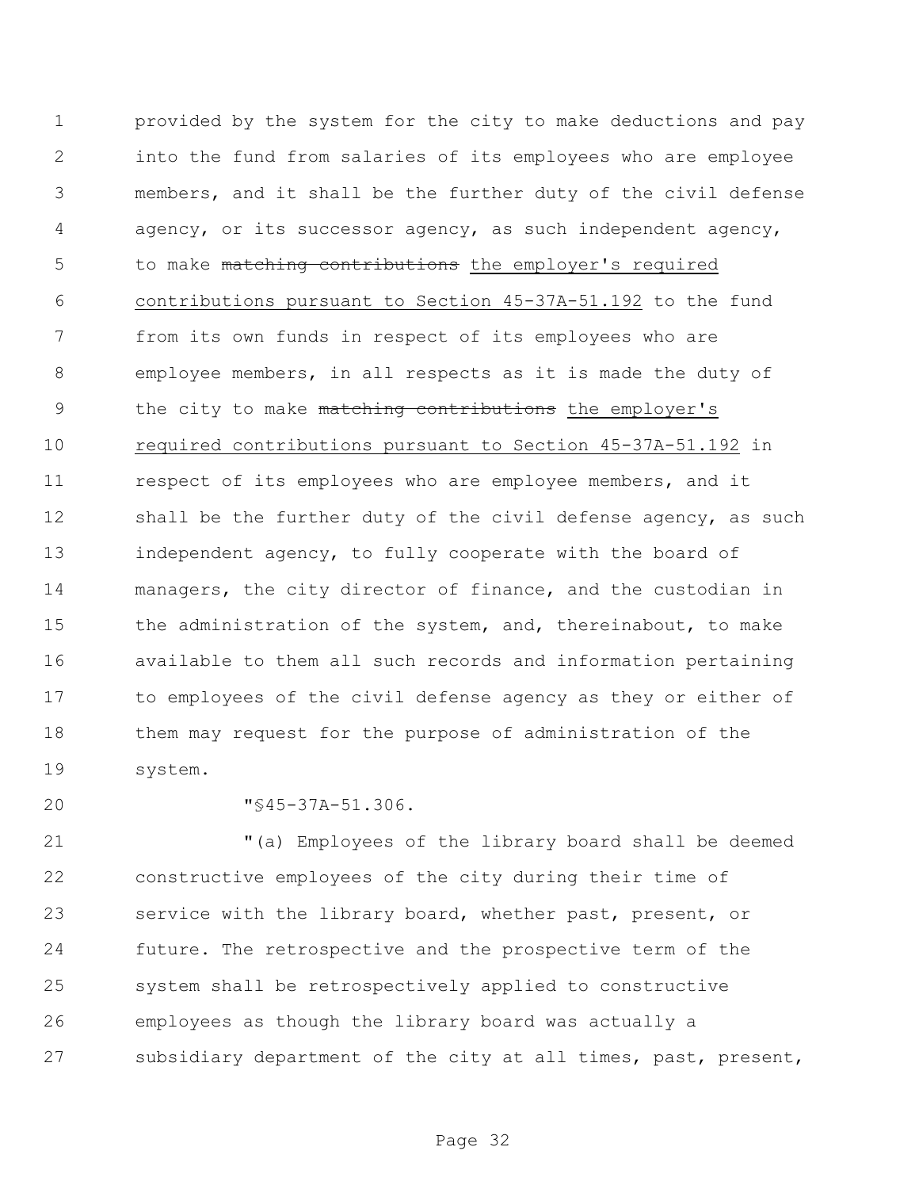provided by the system for the city to make deductions and pay into the fund from salaries of its employees who are employee members, and it shall be the further duty of the civil defense agency, or its successor agency, as such independent agency, 5 to make matching contributions the employer's required contributions pursuant to Section 45-37A-51.192 to the fund from its own funds in respect of its employees who are employee members, in all respects as it is made the duty of 9 the city to make matching contributions the employer's required contributions pursuant to Section 45-37A-51.192 in respect of its employees who are employee members, and it 12 shall be the further duty of the civil defense agency, as such independent agency, to fully cooperate with the board of managers, the city director of finance, and the custodian in the administration of the system, and, thereinabout, to make available to them all such records and information pertaining to employees of the civil defense agency as they or either of them may request for the purpose of administration of the system.

**"**§45-37A-51.306.

 "(a) Employees of the library board shall be deemed constructive employees of the city during their time of service with the library board, whether past, present, or future. The retrospective and the prospective term of the system shall be retrospectively applied to constructive employees as though the library board was actually a subsidiary department of the city at all times, past, present,

Page 32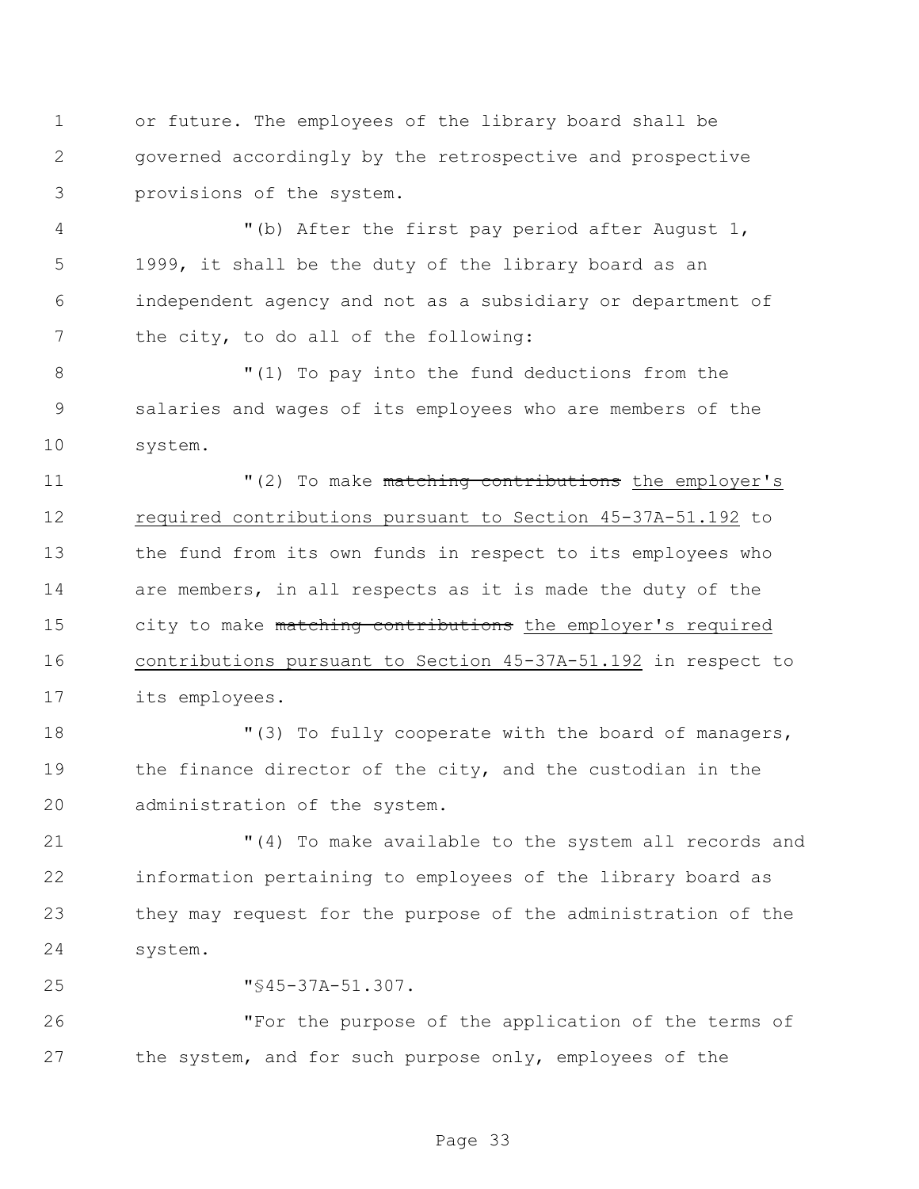or future. The employees of the library board shall be governed accordingly by the retrospective and prospective provisions of the system.

 "(b) After the first pay period after August 1, 1999, it shall be the duty of the library board as an independent agency and not as a subsidiary or department of 7 the city, to do all of the following:

 "(1) To pay into the fund deductions from the salaries and wages of its employees who are members of the system.

 $(2)$  To make matching contributions the employer's required contributions pursuant to Section 45-37A-51.192 to the fund from its own funds in respect to its employees who are members, in all respects as it is made the duty of the 15 city to make matching contributions the employer's required contributions pursuant to Section 45-37A-51.192 in respect to its employees.

18  $\blacksquare$  (3) To fully cooperate with the board of managers, the finance director of the city, and the custodian in the administration of the system.

 "(4) To make available to the system all records and information pertaining to employees of the library board as they may request for the purpose of the administration of the system.

"§45-37A-51.307.

 "For the purpose of the application of the terms of the system, and for such purpose only, employees of the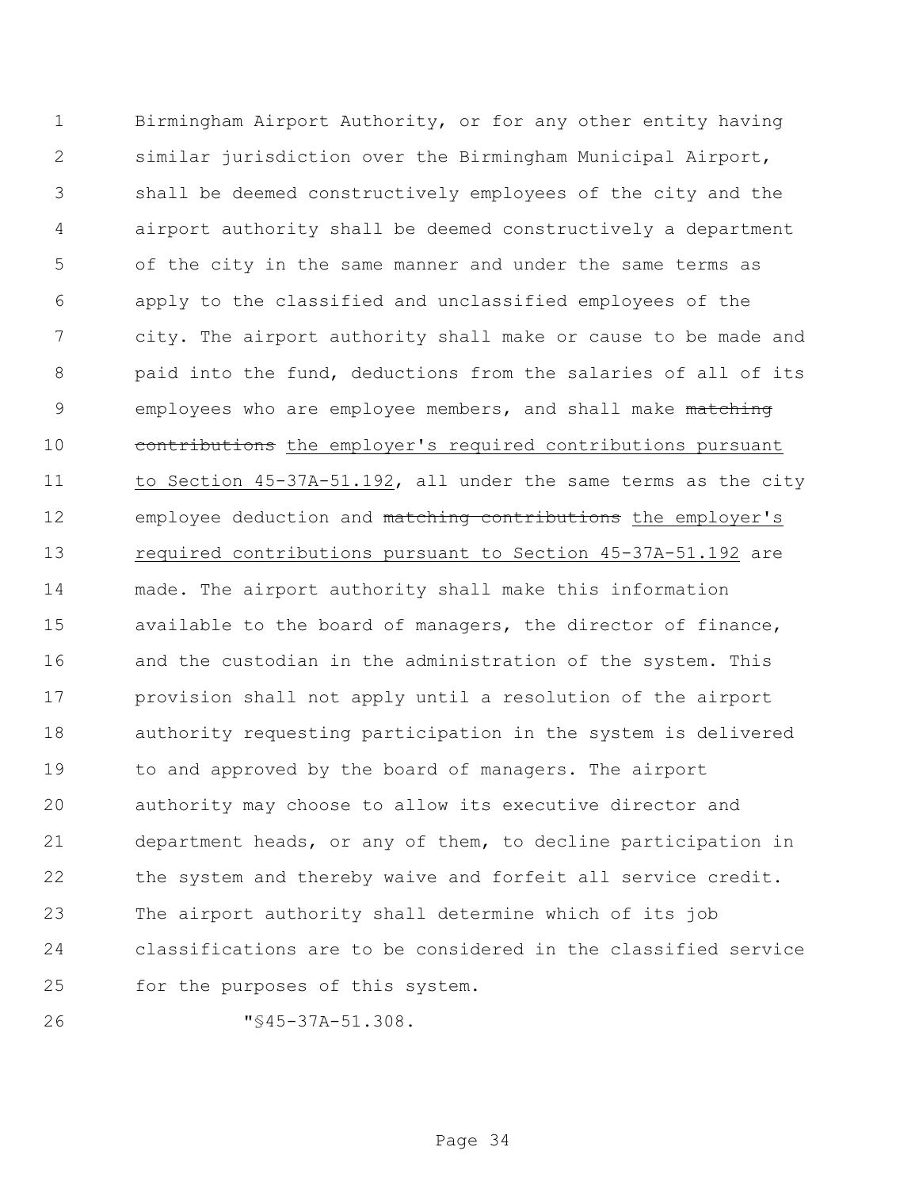Birmingham Airport Authority, or for any other entity having similar jurisdiction over the Birmingham Municipal Airport, shall be deemed constructively employees of the city and the airport authority shall be deemed constructively a department of the city in the same manner and under the same terms as apply to the classified and unclassified employees of the city. The airport authority shall make or cause to be made and paid into the fund, deductions from the salaries of all of its 9 employees who are employee members, and shall make matching 10 contributions the employer's required contributions pursuant to Section 45-37A-51.192, all under the same terms as the city 12 employee deduction and matching contributions the employer's required contributions pursuant to Section 45-37A-51.192 are made. The airport authority shall make this information available to the board of managers, the director of finance, and the custodian in the administration of the system. This provision shall not apply until a resolution of the airport authority requesting participation in the system is delivered to and approved by the board of managers. The airport authority may choose to allow its executive director and department heads, or any of them, to decline participation in the system and thereby waive and forfeit all service credit. The airport authority shall determine which of its job classifications are to be considered in the classified service for the purposes of this system.

"§45-37A-51.308.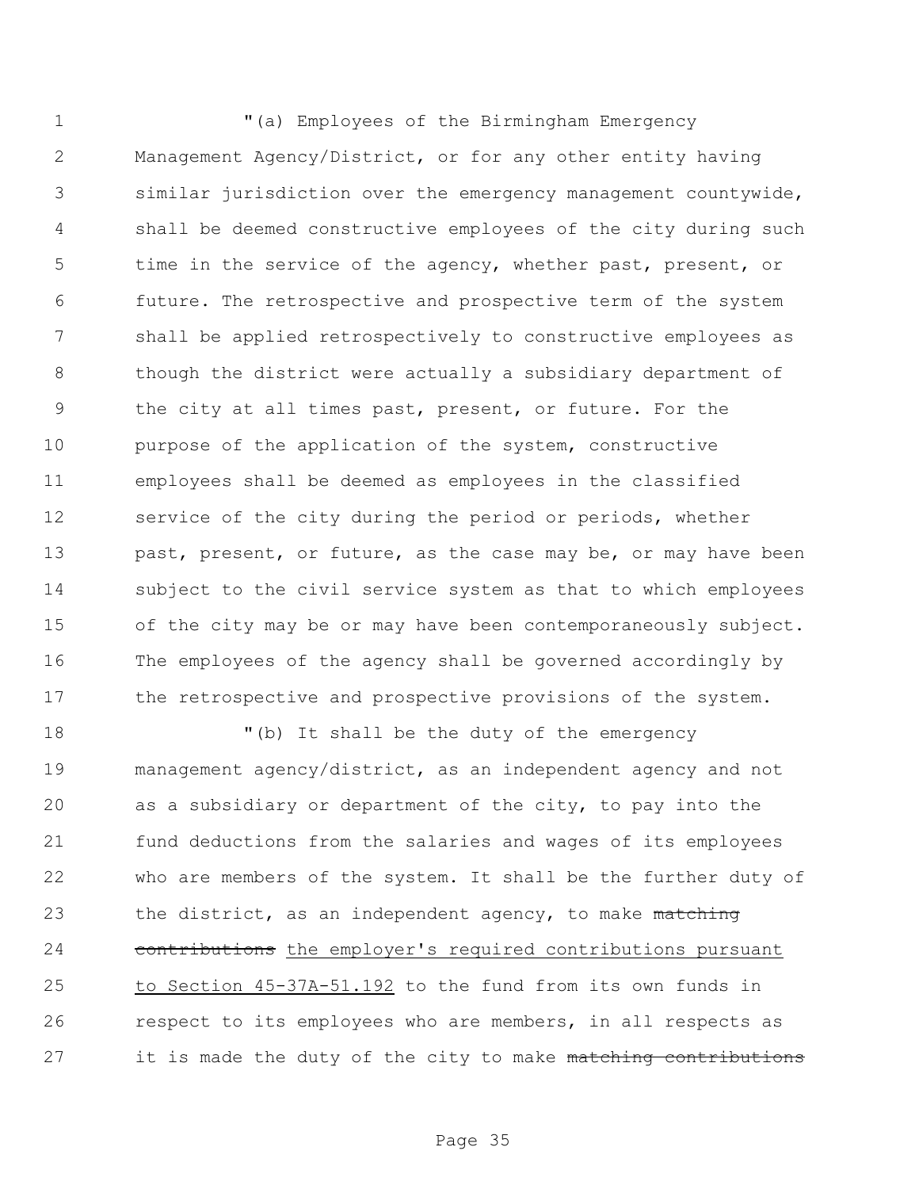1 "(a) Employees of the Birmingham Emergency Management Agency/District, or for any other entity having similar jurisdiction over the emergency management countywide, shall be deemed constructive employees of the city during such time in the service of the agency, whether past, present, or future. The retrospective and prospective term of the system shall be applied retrospectively to constructive employees as though the district were actually a subsidiary department of the city at all times past, present, or future. For the purpose of the application of the system, constructive employees shall be deemed as employees in the classified 12 service of the city during the period or periods, whether 13 past, present, or future, as the case may be, or may have been subject to the civil service system as that to which employees of the city may be or may have been contemporaneously subject. The employees of the agency shall be governed accordingly by 17 the retrospective and prospective provisions of the system.

 $''$  (b) It shall be the duty of the emergency management agency/district, as an independent agency and not as a subsidiary or department of the city, to pay into the fund deductions from the salaries and wages of its employees who are members of the system. It shall be the further duty of 23 the district, as an independent agency, to make matching 24 contributions the employer's required contributions pursuant to Section 45-37A-51.192 to the fund from its own funds in respect to its employees who are members, in all respects as 27 it is made the duty of the city to make matching contributions